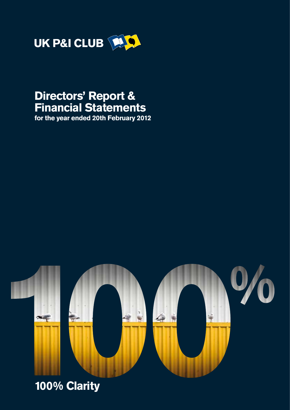

## **Directors' Report & Financial Statements**

**for the year ended 20th February 2012**



# **100% Clarity**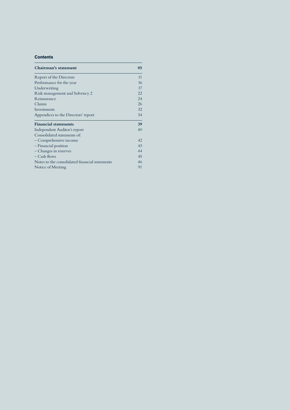## **Contents**

| Chairman's statement                           | 05 |
|------------------------------------------------|----|
| Report of the Directors                        | 11 |
| Performance for the year                       | 16 |
| Underwriting                                   | 17 |
| Risk management and Solvency 2                 | 22 |
| Reinsurance                                    | 24 |
| Claims                                         | 26 |
| Investments                                    | 32 |
| Appendices to the Directors' report            | 34 |
| <b>Financial statements</b>                    | 39 |
| Independent Auditor's report                   | 40 |
| Consolidated statements of:                    |    |
| - Comprehensive income                         | 42 |
| - Financial position                           | 43 |
| - Changes in reserves                          | 44 |
| – Cash flows                                   | 45 |
| Notes to the consolidated financial statements | 46 |
| Notice of Meeting                              | 91 |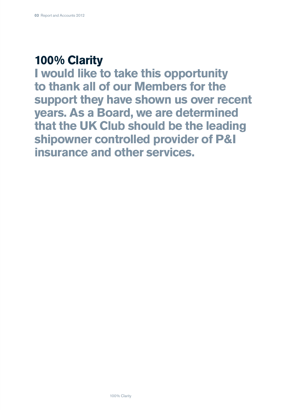## **100% Clarity**

**I would like to take this opportunity to thank all of our Members for the support they have shown us over recent years. As a Board, we are determined that the UK Club should be the leading shipowner controlled provider of P&I insurance and other services.**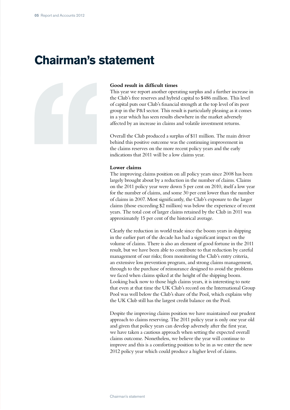## **Chairman's statement**



### **Good result in difficult times**

This year we report another operating surplus and a further increase in the Club's free reserves and hybrid capital to \$486 million. This level of capital puts our Club's financial strength at the top level of its peer group in the P&I sector. This result is particularly pleasing as it comes in a year which has seen results elsewhere in the market adversely affected by an increase in claims and volatile investment returns.

Overall the Club produced a surplus of \$11 million. The main driver behind this positive outcome was the continuing improvement in the claims reserves on the more recent policy years and the early indications that 2011 will be a low claims year.

### **Lower claims**

The improving claims position on all policy years since 2008 has been largely brought about by a reduction in the number of claims. Claims on the 2011 policy year were down 5 per cent on 2010, itself a low year for the number of claims, and some 30 per cent lower than the number of claims in 2007. Most significantly, the Club's exposure to the larger claims (those exceeding \$2 million) was below the experience of recent years. The total cost of larger claims retained by the Club in 2011 was approximately 15 per cent of the historical average.

Clearly the reduction in world trade since the boom years in shipping in the earlier part of the decade has had a significant impact on the volume of claims. There is also an element of good fortune in the 2011 result, but we have been able to contribute to that reduction by careful management of our risks; from monitoring the Club's entry criteria, an extensive loss prevention program, and strong claims management, through to the purchase of reinsurance designed to avoid the problems we faced when claims spiked at the height of the shipping boom. Looking back now to those high claims years, it is interesting to note that even at that time the UK Club's record on the International Group Pool was well below the Club's share of the Pool, which explains why the UK Club still has the largest credit balance on the Pool.

Despite the improving claims position we have maintained our prudent approach to claims reserving. The 2011 policy year is only one year old and given that policy years can develop adversely after the first year, we have taken a cautious approach when setting the expected overall claims outcome. Nonetheless, we believe the year will continue to improve and this is a comforting position to be in as we enter the new 2012 policy year which could produce a higher level of claims.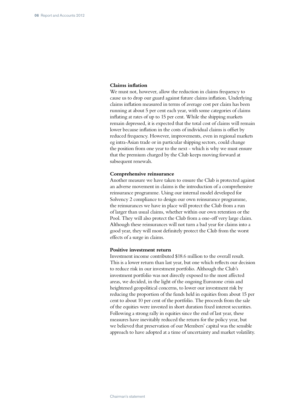### **Claims inflation**

We must not, however, allow the reduction in claims frequency to cause us to drop our guard against future claims inflation. Underlying claims inflation measured in terms of average cost per claim has been running at about 5 per cent each year, with some categories of claims inflating at rates of up to 15 per cent. While the shipping markets remain depressed, it is expected that the total cost of claims will remain lower because inflation in the costs of individual claims is offset by reduced frequency. However, improvements, even in regional markets eg intra-Asian trade or in particular shipping sectors, could change the position from one year to the next - which is why we must ensure that the premium charged by the Club keeps moving forward at subsequent renewals.

### **Comprehensive reinsurance**

Another measure we have taken to ensure the Club is protected against an adverse movement in claims is the introduction of a comprehensive reinsurance programme. Using our internal model developed for Solvency 2 compliance to design our own reinsurance programme, the reinsurances we have in place will protect the Club from a run of larger than usual claims, whether within our own retention or the Pool. They will also protect the Club from a one-off very large claim. Although these reinsurances will not turn a bad year for claims into a good year, they will most definitely protect the Club from the worst effects of a surge in claims.

#### **Positive investment return**

Investment income contributed \$18.6 million to the overall result. This is a lower return than last year, but one which reflects our decision to reduce risk in our investment portfolio. Although the Club's investment portfolio was not directly exposed to the most affected areas, we decided, in the light of the ongoing Eurozone crisis and heightened geopolitical concerns, to lower our investment risk by reducing the proportion of the funds held in equities from about 15 per cent to about 10 per cent of the portfolio. The proceeds from the sale of the equities were invested in short duration fixed interest securities. Following a strong rally in equities since the end of last year, these measures have inevitably reduced the return for the policy year, but we believed that preservation of our Members' capital was the sensible approach to have adopted at a time of uncertainty and market volatility.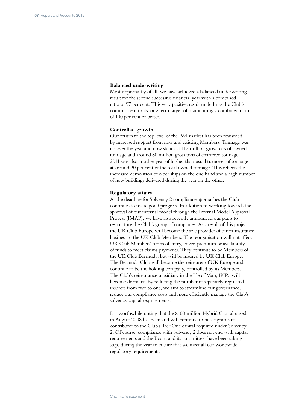## **Balanced underwriting**

Most importantly of all, we have achieved a balanced underwriting result for the second successive financial year with a combined ratio of 97 per cent. This very positive result underlines the Club's commitment to its long term target of maintaining a combined ratio of 100 per cent or better.

#### **Controlled growth**

Our return to the top level of the P&I market has been rewarded by increased support from new and existing Members. Tonnage was up over the year and now stands at 112 million gross tons of owned tonnage and around 80 million gross tons of chartered tonnage. 2011 was also another year of higher than usual turnover of tonnage at around 20 per cent of the total owned tonnage. This reflects the increased demolition of older ships on the one hand and a high number of new buildings delivered during the year on the other.

#### **Regulatory affairs**

As the deadline for Solvency 2 compliance approaches the Club continues to make good progress. In addition to working towards the approval of our internal model through the Internal Model Approval Process (IMAP), we have also recently announced our plans to restructure the Club's group of companies. As a result of this project the UK Club Europe will become the sole provider of direct insurance business to the UK Club Members. The reorganisation will not affect UK Club Members' terms of entry, cover, premium or availability of funds to meet claims payments. They continue to be Members of the UK Club Bermuda, but will be insured by UK Club Europe. The Bermuda Club will become the reinsurer of UK Europe and continue to be the holding company, controlled by its Members. The Club's reinsurance subsidiary in the Isle of Man, IPIR, will become dormant. By reducing the number of separately regulated insurers from two to one, we aim to streamline our governance, reduce our compliance costs and more efficiently manage the Club's solvency capital requirements.

It is worthwhile noting that the \$100 million Hybrid Capital raised in August 2008 has been and will continue to be a significant contributor to the Club's Tier One capital required under Solvency 2. Of course, compliance with Solvency 2 does not end with capital requirements and the Board and its committees have been taking steps during the year to ensure that we meet all our worldwide regulatory requirements.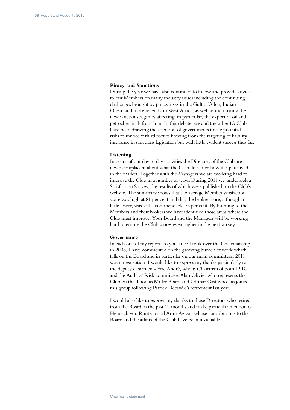## **Piracy and Sanctions**

During the year we have also continued to follow and provide advice to our Members on many industry issues including the continuing challenges brought by piracy risks in the Gulf of Aden, Indian Ocean and more recently in West Africa, as well as monitoring the new sanctions regimes affecting, in particular, the export of oil and petrochemicals from Iran. In this debate, we and the other IG Clubs have been drawing the attention of governments to the potential risks to innocent third parties flowing from the targeting of liability insurance in sanctions legislation but with little evident success thus far.

#### **Listening**

In terms of our day to day activities the Directors of the Club are never complacent about what the Club does, nor how it is perceived in the market. Together with the Managers we are working hard to improve the Club in a number of ways. During 2011 we undertook a Satisfaction Survey, the results of which were published on the Club's website. The summary shows that the average Member satisfaction score was high at 81 per cent and that the broker score, although a little lower, was still a commendable 76 per cent. By listening to the Members and their brokers we have identified those areas where the Club must improve. Your Board and the Managers will be working hard to ensure the Club scores even higher in the next survey.

### **Governance**

In each one of my reports to you since I took over the Chairmanship in 2008, I have commented on the growing burden of work which falls on the Board and in particular on our main committees. 2011 was no exception. I would like to express my thanks particularly to the deputy chairmen - Eric André, who is Chairman of both IPIR and the Audit & Risk committee, Alan Olivier who represents the Club on the Thomas Miller Board and Ottmar Gast who has joined this group following Patrick Decavèle's retirement last year.

I would also like to express my thanks to those Directors who retired from the Board in the past 12 months and make particular mention of Heinrich von Rantzau and Amir Azizan whose contributions to the Board and the affairs of the Club have been invaluable.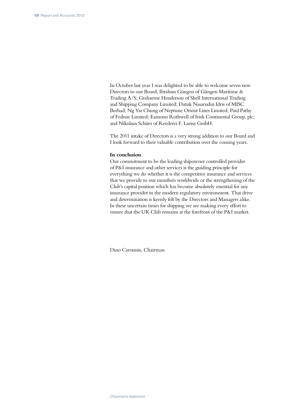In October last year I was delighted to be able to welcome seven new Directors to our Board; Ibrahim Güngen of Güngen Maritime & Trading A/S; Grahaeme Henderson of Shell International Trading and Shipping Company Limited; Datuk Nasarudin Idris of MISC Berhad; Ng Yat Chung of Neptune Orient Lines Limited; Paul Pathy of Fednav Limited; Eamonn Rothwell of Irish Continental Group, plc; and Nikolaus Schües of Reederei F. Laeisz GmbH.

The 2011 intake of Directors is a very strong addition to our Board and I look forward to their valuable contribution over the coming years.

#### **In conclusion**

Our commitment to be the leading shipowner controlled provider of P&I insurance and other services is the guiding principle for everything we do whether it is the competitive insurance and services that we provide to our members worldwide or the strengthening of the Club's capital position which has become absolutely essential for any insurance provider in the modern regulatory environment. That drive and determination is keenly felt by the Directors and Managers alike. In these uncertain times for shipping we are making every effort to ensure that the UK Club remains at the forefront of the P&I market.

Dino Caroussis, Chairman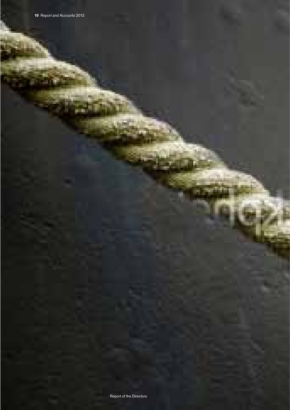Report of the Directors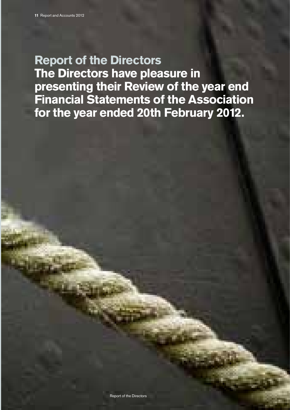## **Report of the Directors**

**The Directors have pleasure in presenting their Review of the year end Financial Statements of the Association for the year ended 20th February 2012.**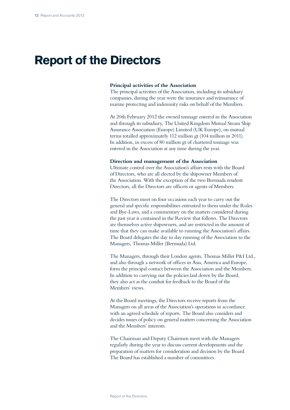## **Report of the Directors**

### **Principal activities of the Association**

The principal activities of the Association, including its subsidiary companies, during the year were the insurance and reinsurance of marine protecting and indemnity risks on behalf of the Members.

At 20th February 2012 the owned tonnage entered in the Association and through its subsidiary, The United Kingdom Mutual Steam Ship Assurance Association (Europe) Limited (UK Europe), on mutual terms totalled approximately 112 million gt (104 million in 2011). In addition, in excess of 80 million gt of chartered tonnage was entered in the Association at any time during the year.

#### **Direction and management of the Association**

Ultimate control over the Association's affairs rests with the Board of Directors, who are all elected by the shipowner Members of the Association. With the exception of the two Bermuda resident Directors, all the Directors are officers or agents of Members.

The Directors meet on four occasions each year to carry out the general and specific responsibilities entrusted to them under the Rules and Bye-Laws, and a commentary on the matters considered during the past year is contained in the Review that follows. The Directors are themselves active shipowners, and are restricted in the amount of time that they can make available to running the Association's affairs. The Board delegates the day to day running of the Association to the Managers, Thomas Miller (Bermuda) Ltd.

The Managers, through their London agents, Thomas Miller P&I Ltd., and also through a network of offices in Asia, America and Europe, form the principal contact between the Association and the Members. In addition to carrying out the policies laid down by the Board, they also act as the conduit for feedback to the Board of the Members' views.

At the Board meetings, the Directors receive reports from the Managers on all areas of the Association's operations in accordance with an agreed schedule of reports. The Board also considers and decides issues of policy on general matters concerning the Association and the Members' interests.

The Chairman and Deputy Chairmen meet with the Managers regularly during the year to discuss current developments and the preparation of matters for consideration and decision by the Board. The Board has established a number of committees.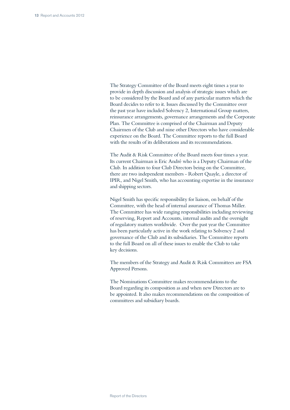The Strategy Committee of the Board meets eight times a year to provide in depth discussion and analysis of strategic issues which are to be considered by the Board and of any particular matters which the Board decides to refer to it. Issues discussed by the Committee over the past year have included Solvency 2, International Group matters, reinsurance arrangements, governance arrangements and the Corporate Plan. The Committee is comprised of the Chairman and Deputy Chairmen of the Club and nine other Directors who have considerable experience on the Board. The Committee reports to the full Board with the results of its deliberations and its recommendations.

The Audit & Risk Committee of the Board meets four times a year. Its current Chairman is Eric André who is a Deputy Chairman of the Club. In addition to four Club Directors being on the Committee, there are two independent members - Robert Quayle, a director of IPIR, and Nigel Smith, who has accounting expertise in the insurance and shipping sectors.

Nigel Smith has specific responsibility for liaison, on behalf of the Committee, with the head of internal assurance of Thomas Miller. The Committee has wide ranging responsibilities including reviewing of reserving, Report and Accounts, internal audits and the oversight of regulatory matters worldwide. Over the past year the Committee has been particularly active in the work relating to Solvency 2 and governance of the Club and its subsidiaries. The Committee reports to the full Board on all of these issues to enable the Club to take key decisions.

The members of the Strategy and Audit & Risk Committees are FSA Approved Persons.

The Nominations Committee makes recommendations to the Board regarding its composition as and when new Directors are to be appointed. It also makes recommendations on the composition of committees and subsidiary boards.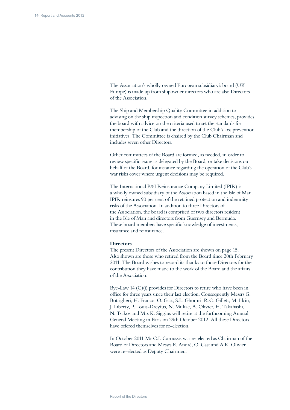The Association's wholly owned European subsidiary's board (UK Europe) is made up from shipowner directors who are also Directors of the Association.

The Ship and Membership Quality Committee in addition to advising on the ship inspection and condition survey schemes, provides the board with advice on the criteria used to set the standards for membership of the Club and the direction of the Club's loss prevention initiatives. The Committee is chaired by the Club Chairman and includes seven other Directors.

Other committees of the Board are formed, as needed, in order to review specific issues as delegated by the Board, or take decisions on behalf of the Board, for instance regarding the operation of the Club's war risks cover where urgent decisions may be required.

The International P&I Reinsurance Company Limited (IPIR) is a wholly owned subsidiary of the Association based in the Isle of Man. IPIR reinsures 90 per cent of the retained protection and indemnity risks of the Association. In addition to three Directors of the Association, the board is comprised of two directors resident in the Isle of Man and directors from Guernsey and Bermuda. These board members have specific knowledge of investments, insurance and reinsurance.

### **Directors**

The present Directors of the Association are shown on page 15. Also shown are those who retired from the Board since 20th February 2011. The Board wishes to record its thanks to those Directors for the contribution they have made to the work of the Board and the affairs of the Association.

Bye-Law 14 (C)(i) provides for Directors to retire who have been in office for three years since their last election. Consequently Messrs G. Bottiglieri, H. Franco, O. Gast, S.L. Ghomri, R.C. Gillett, M. Itkin, J. Liberty, P. Louis-Dreyfus, N. Mukae, A. Olivier, H. Takahashi, N. Tsakos and Mrs K. Siggins will retire at the forthcoming Annual General Meeting in Paris on 29th October 2012. All these Directors have offered themselves for re-election.

In October 2011 Mr C.I. Caroussis was re-elected as Chairman of the Board of Directors and Messrs E. André, O. Gast and A.K. Olivier were re-elected as Deputy Chairmen.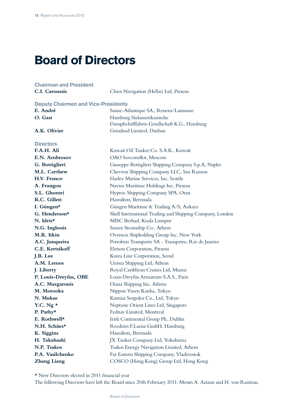## **Board of Directors**

## **Chairman and President C.I. Caroussis** Chios Navigation (Hellas) Ltd, Piraeus **Deputy Chairmen and Vice-Presidents**  E. André Suisse-Atlantique SA., Renens/Lausanne **O. Gast** Hamburg Südamerikanische Dampfschifffahrts-Gesellschaft K.G., Hamburg A.K. Olivier **Grindrod Limited, Durban Directors F.A.H. Ali** Kuwait Oil Tanker Co. S.A.K., Kuwait **E.N. Ambrosov** OAO Sovcomflot, Moscow **G. Bottiglieri** Giuseppe Bottiglieri Shipping Company S.p.A, Naples **M.L. Carthew** Chevron Shipping Company LLC, San Ramon **H.V. Franco** Harley Marine Services, Inc, Seattle **A. Frangou** Navios Maritime Holdings Inc, Piraeus **S.L. Ghomri Hyproc Shipping Company SPA, Oran** R.C. Gillett Hamilton, Bermuda **I. Güngen\*** Güngen Maritime & Trading A/S, Ankara **G. Henderson\*** Shell International Trading and Shipping Company, London N. Idris\* MISC Berhad, Kuala Lumpur **N.G. Inglessis** Samos Steamship Co., Athens **M.R. Itkin Overseas Shipholding Group Inc, New York A.C. Junqueira** Petrobras Transporte SA - Transpetro, Rio de Janeiro **C.E. Kertsikoff** Eletson Corporation, Piraeus **J.B. Lee** Korea Line Corporation, Seoul **A.M. Lemos** Unisea Shipping Ltd, Athens **J. Liberty Royal Caribbean Cruises Ltd, Miami P. Louis-Dreyfus, OBE** Louis Dreyfus Armateurs S.A.S., Paris **A.C. Margaronis** Diana Shipping Inc, Athens **M. Morooka Nippon Yusen Kaisha, Tokyo N. Mukae** Kumiai Senpaku Co., Ltd, Tokyo **Y.C. Ng \*** Neptune Orient Lines Ltd, Singapore P. Pathy<sup>\*</sup> Fednav Limited, Montreal **E. Rothwell\*** Irish Continental Group Plc, Dublin N.H. Schües\* Reederei F.Laeisz GmbH, Hamburg **K. Siggins** Hamilton, Bermuda **H. Takahashi** JX Tanker Company Ltd, Yokohama **N.P. Tsakos** Tsakos Energy Navigation Limited, Athens **P.A. Vasilchenko** Far Eastern Shipping Company, Vladivostok **Zhang Liang** COSCO (Hong Kong) Group Ltd, Hong Kong

\* New Directors elected in 2011 financial year

The following Directors have left the Board since 20th February 2011: Messrs A. Azizan and H. von Rantzau.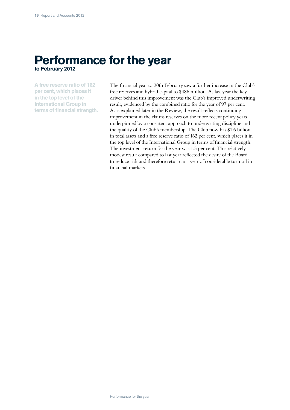## **Performance for the year to February 2012**

**A free reserve ratio of 162 per cent, which places it in the top level of the International Group in terms of financial strength.** The financial year to 20th February saw a further increase in the Club's free reserves and hybrid capital to \$486 million. As last year the key driver behind this improvement was the Club's improved underwriting result, evidenced by the combined ratio for the year of 97 per cent. As is explained later in the Review, the result reflects continuing improvement in the claims reserves on the more recent policy years underpinned by a consistent approach to underwriting discipline and the quality of the Club's membership. The Club now has \$1.6 billion in total assets and a free reserve ratio of 162 per cent, which places it in the top level of the International Group in terms of financial strength. The investment return for the year was 1.5 per cent. This relatively modest result compared to last year reflected the desire of the Board to reduce risk and therefore return in a year of considerable turmoil in financial markets.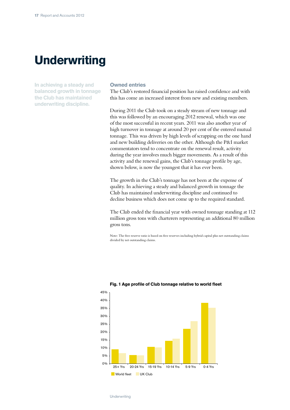# **Underwriting**

**In achieving a steady and balanced growth in tonnage the Club has maintained underwriting discipline.**

### **Owned entries**

The Club's restored financial position has raised confidence and with this has come an increased interest from new and existing members.

During 2011 the Club took on a steady stream of new tonnage and this was followed by an encouraging 2012 renewal, which was one of the most successful in recent years. 2011 was also another year of high turnover in tonnage at around 20 per cent of the entered mutual tonnage. This was driven by high levels of scrapping on the one hand and new building deliveries on the other. Although the P&I market commentators tend to concentrate on the renewal result, activity during the year involves much bigger movements. As a result of this activity and the renewal gains, the Club's tonnage profile by age, shown below, is now the youngest that it has ever been.

The growth in the Club's tonnage has not been at the expense of quality. In achieving a steady and balanced growth in tonnage the Club has maintained underwriting discipline and continued to decline business which does not come up to the required standard.

The Club ended the financial year with owned tonnage standing at 112 million gross tons with charterers representing an additional 80 million gross tons.

Note: The free reserve ratio is based on free reserves including hybrid capital plus net outstanding claims divided by net outstanding claims.



#### **Fig. 1 Age profile of Club tonnage relative to world fleet**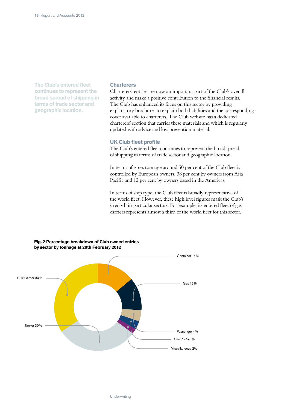**The Club's entered fleet continues to represent the broad spread of shipping in terms of trade sector and geographic location.**

### **Charterers**

Charterers' entries are now an important part of the Club's overall activity and make a positive contribution to the financial results. The Club has enhanced its focus on this sector by providing explanatory brochures to explain both liabilities and the corresponding cover available to charterers. The Club website has a dedicated charterers' section that carries these materials and which is regularly updated with advice and loss prevention material.

### **UK Club fleet profile**

The Club's entered fleet continues to represent the broad spread of shipping in terms of trade sector and geographic location.

In terms of gross tonnage around 50 per cent of the Club fleet is controlled by European owners, 38 per cent by owners from Asia Pacific and 12 per cent by owners based in the Americas.

In terms of ship type, the Club fleet is broadly representative of the world fleet. However, these high level figures mask the Club's strength in particular sectors. For example, its entered fleet of gas carriers represents almost a third of the world fleet for this sector.



### **Fig. 2 Percentage breakdown of Club owned entries by sector by tonnage at 20th February 2012**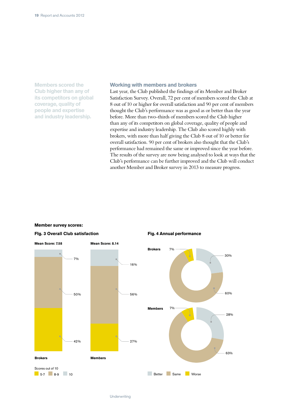**Members scored the Club higher than any of its competitors on global coverage, quality of people and expertise and industry leadership.**

### **Working with members and brokers**

Last year, the Club published the findings of its Member and Broker Satisfaction Survey. Overall, 72 per cent of members scored the Club at 8 out of 10 or higher for overall satisfaction and 90 per cent of members thought the Club's performance was as good as or better than the year before. More than two-thirds of members scored the Club higher than any of its competitors on global coverage, quality of people and expertise and industry leadership. The Club also scored highly with brokers, with more than half giving the Club 8 out of 10 or better for overall satisfaction. 90 per cent of brokers also thought that the Club's performance had remained the same or improved since the year before. The results of the survey are now being analysed to look at ways that the Club's performance can be further improved and the Club will conduct another Member and Broker survey in 2013 to measure progress.

#### **Member survey scores:**



## **Fig. 4 Annual performance**

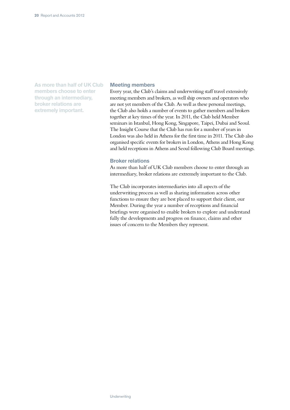**As more than half of UK Club members choose to enter through an intermediary, broker relations are extremely important.**

## **Meeting members**

Every year, the Club's claims and underwriting staff travel extensively meeting members and brokers, as well ship owners and operators who are not yet members of the Club. As well as these personal meetings, the Club also holds a number of events to gather members and brokers together at key times of the year. In 2011, the Club held Member seminars in Istanbul, Hong Kong, Singapore, Taipei, Dubai and Seoul. The Insight Course that the Club has run for a number of years in London was also held in Athens for the first time in 2011. The Club also organised specific events for brokers in London, Athens and Hong Kong and held receptions in Athens and Seoul following Club Board meetings.

### **Broker relations**

As more than half of UK Club members choose to enter through an intermediary, broker relations are extremely important to the Club.

The Club incorporates intermediaries into all aspects of the underwriting process as well as sharing information across other functions to ensure they are best placed to support their client, our Member. During the year a number of receptions and financial briefings were organised to enable brokers to explore and understand fully the developments and progress on finance, claims and other issues of concern to the Members they represent.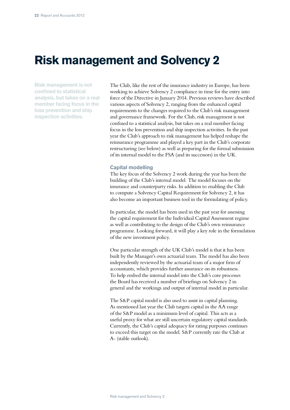## **Risk management and Solvency 2**

**Risk management is not confined to statistical analysis, but takes on a real member facing focus in the loss prevention and ship inspection activities.**

The Club, like the rest of the insurance industry in Europe, has been working to achieve Solvency 2 compliance in time for the entry into force of the Directive in January 2014. Previous reviews have described various aspects of Solvency 2, ranging from the enhanced capital requirements to the changes required to the Club's risk management and governance framework. For the Club, risk management is not confined to a statistical analysis, but takes on a real member facing focus in the loss prevention and ship inspection activities. In the past year the Club's approach to risk management has helped reshape the reinsurance programme and played a key part in the Club's corporate restructuring (see below) as well as preparing for the formal submission of its internal model to the FSA (and its successors) in the UK.

#### **Capital modelling**

The key focus of the Solvency 2 work during the year has been the building of the Club's internal model. The model focuses on the insurance and counterparty risks. In addition to enabling the Club to compute a Solvency Capital Requirement for Solvency 2, it has also become an important business tool in the formulating of policy.

In particular, the model has been used in the past year for assessing the capital requirement for the Individual Capital Assessment regime as well as contributing to the design of the Club's own reinsurance programme. Looking forward, it will play a key role in the formulation of the new investment policy.

One particular strength of the UK Club's model is that it has been built by the Manager's own actuarial team. The model has also been independently reviewed by the actuarial team of a major firm of accountants, which provides further assurance on its robustness. To help embed the internal model into the Club's core processes the Board has received a number of briefings on Solvency 2 in general and the workings and output of internal model in particular.

The S&P capital model is also used to assist in capital planning. As mentioned last year the Club targets capital in the AA range of the S&P model as a minimum level of capital. This acts as a useful proxy for what are still uncertain regulatory capital standards. Currently, the Club's capital adequacy for rating purposes continues to exceed this target on the model. S&P currently rate the Club at A- (stable outlook).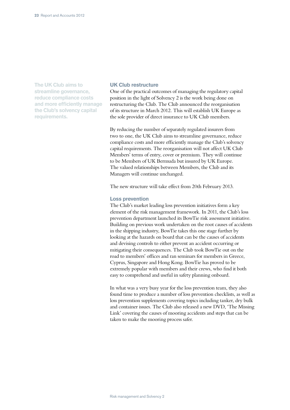**The UK Club aims to streamline governance, reduce compliance costs and more efficiently manage the Club's solvency capital requirements.**

## **UK Club restructure**

One of the practical outcomes of managing the regulatory capital position in the light of Solvency 2 is the work being done on restructuring the Club. The Club announced the reorganisation of its structure in March 2012. This will establish UK Europe as the sole provider of direct insurance to UK Club members.

By reducing the number of separately regulated insurers from two to one, the UK Club aims to streamline governance, reduce compliance costs and more efficiently manage the Club's solvency capital requirements. The reorganisation will not affect UK Club Members' terms of entry, cover or premium. They will continue to be Members of UK Bermuda but insured by UK Europe. The valued relationships between Members, the Club and its Managers will continue unchanged.

The new structure will take effect from 20th February 2013.

#### **Loss prevention**

The Club's market leading loss prevention initiatives form a key element of the risk management framework. In 2011, the Club's loss prevention department launched its BowTie risk assessment initiative. Building on previous work undertaken on the root causes of accidents in the shipping industry, BowTie takes this one stage further by looking at the hazards on board that can be the causes of accidents and devising controls to either prevent an accident occurring or mitigating their consequences. The Club took BowTie out on the road to members' offices and ran seminars for members in Greece, Cyprus, Singapore and Hong Kong. BowTie has proved to be extremely popular with members and their crews, who find it both easy to comprehend and useful in safety planning onboard.

In what was a very busy year for the loss prevention team, they also found time to produce a number of loss prevention checklists, as well as loss prevention supplements covering topics including tanker, dry bulk and container issues. The Club also released a new DVD, 'The Missing Link' covering the causes of mooring accidents and steps that can be taken to make the mooring process safer.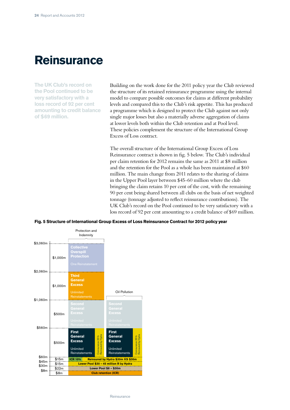## **Reinsurance**

**The UK Club's record on the Pool continued to be very satisfactory with a loss record of 92 per cent amounting to credit balance of \$69 million.**

Building on the work done for the 2011 policy year the Club reviewed the structure of its retained reinsurance programme using the internal model to compare possible outcomes for claims at different probability levels and compared this to the Club's risk appetite. This has produced a programme which is designed to protect the Club against not only single major losses but also a materially adverse aggregation of claims at lower levels both within the Club retention and at Pool level. These policies complement the structure of the International Group Excess of Loss contract.

The overall structure of the International Group Excess of Loss Reinsurance contract is shown in fig. 5 below. The Club's individual per claim retention for 2012 remains the same as 2011 at \$8 million and the retention for the Pool as a whole has been maintained at \$60 million. The main change from 2011 relates to the sharing of claims in the Upper Pool layer between \$45-60 million where the club bringing the claim retains 10 per cent of the cost, with the remaining 90 per cent being shared between all clubs on the basis of net weighted tonnage (tonnage adjusted to reflect reinsurance contributions). The UK Club's record on the Pool continued to be very satisfactory with a loss record of 92 per cent amounting to a credit balance of \$69 million.



#### **Fig. 5 Structure of International Group Excess of Loss Reinsurance Contract for 2012 policy year**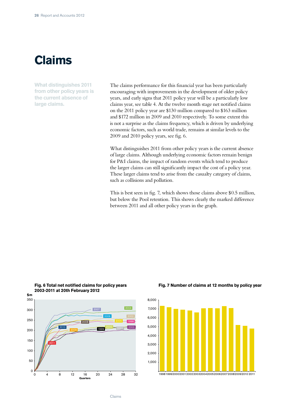# **Claims**

**What distinguishes 2011 from other policy years is the current absence of large claims.**

The claims performance for this financial year has been particularly encouraging with improvements in the development of older policy years, and early signs that 2011 policy year will be a particularly low claims year, see table 4. At the twelve month stage net notified claims on the 2011 policy year are \$130 million compared to \$163 million and \$172 million in 2009 and 2010 respectively. To some extent this is not a surprise as the claims frequency, which is driven by underlying economic factors, such as world trade, remains at similar levels to the 2009 and 2010 policy years, see fig. 6.

What distinguishes 2011 from other policy years is the current absence of large claims. Although underlying economic factors remain benign for P&I claims, the impact of random events which tend to produce the larger claims can still significantly impact the cost of a policy year. These larger claims tend to arise from the casualty category of claims, such as collisions and pollution.

This is best seen in fig. 7, which shows those claims above \$0.5 million, but below the Pool retention. This shows clearly the marked difference between 2011 and all other policy years in the graph.



#### **Fig. 6 Total net notified claims for policy years 2003-2011 at 20th February 2012**



## **Fig. 7 Number of claims at 12 months by policy year**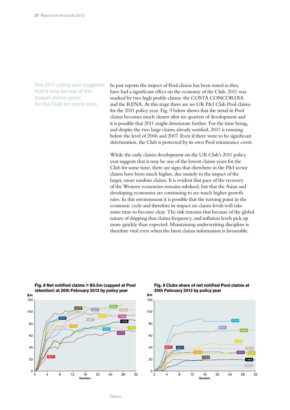**The 2011 policy year suggests that it may be one of the lowest claims years for the Club for some time.**

In past reports the impact of Pool claims has been noted as they have had a significant effect on the economy of the Club. 2011 was marked by two high profile claims: the COSTA CONCORDIA and the RENA. At this stage there are no UK P&I Club Pool claims for the 2011 policy year. Fig. 9 below shows that the trend in Pool claims becomes much clearer after six quarters of development and it is possible that 2011 might deteriorate further. For the time being, and despite the two large claims already notified, 2011 is running below the level of 2006 and 2007. Even if there were to be significant deterioration, the Club is protected by its own Pool reinsurance cover.

While the early claims development on the UK Club's 2011 policy year suggests that it may be one of the lowest claims years for the Club for some time, there are signs that elsewhere in the P&I sector claims have been much higher, due mainly to the impact of the larger, more random claims. It is evident that pace of the recovery of the Western economies remains subdued, but that the Asian and developing economies are continuing to see much higher growth rates. In this environment it is possible that the turning point in the economic cycle and therefore its impact on claims levels will take some time to become clear. The risk remains that because of the global nature of shipping that claims frequency, and inflation levels pick up more quickly than expected. Maintaining underwriting discipline is therefore vital even when the latest claims information is favourable.



### **Fig. 8 Net notified claims > \$0.5m (capped at Pool retention) at 20th February 2012 by policy year**



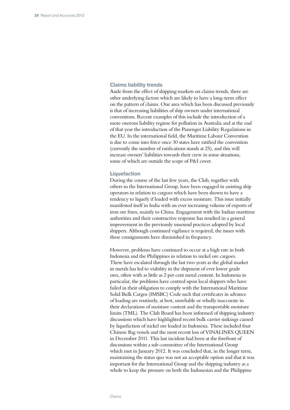### **Claims liability trends**

Aside from the effect of shipping markets on claims trends, there are other underlying factors which are likely to have a long-term effect on the pattern of claims. One area which has been discussed previously is that of increasing liabilities of ship owners under international conventions. Recent examples of this include the introduction of a more onerous liability regime for pollution in Australia and at the end of that year the introduction of the Passenger Liability Regulations in the EU. In the international field, the Maritime Labour Convention is due to come into force once 30 states have ratified the convention (currently the number of ratifications stands at 25), and this will increase owners' liabilities towards their crew in some situations, some of which are outside the scope of P&I cover.

#### **Liquefaction**

During the course of the last few years, the Club, together with others in the International Group, have been engaged in assisting ship operators in relation to cargoes which have been shown to have a tendency to liquefy if loaded with excess moisture. This issue initially manifested itself in India with an ever increasing volume of exports of iron ore fines, mainly to China. Engagement with the Indian maritime authorities and their constructive response has resulted in a general improvement in the previously unsound practices adopted by local shippers. Although continued vigilance is required, the issues with these consignments have diminished in frequency.

However, problems have continued to occur at a high rate in both Indonesia and the Philippines in relation to nickel ore cargoes. These have escalated through the last two years as the global market in metals has led to viability in the shipment of ever lower grade ores, often with as little as 2 per cent metal content. In Indonesia in particular, the problems have centred upon local shippers who have failed in their obligation to comply with the International Maritime Solid Bulk Cargos (IMSBC) Code such that certificates in advance of loading are routinely, at best, unreliable or wholly inaccurate in their declarations of moisture content and the transportable moisture limits (TML). The Club Board has been informed of shipping industry discussions which have highlighted recent bulk carrier sinkings caused by liquefaction of nickel ore loaded in Indonesia. These included four Chinese flag vessels and the most recent loss of VINALINES QUEEN in December 2011. This last incident had been at the forefront of discussions within a sub-committee of the International Group which met in January 2012. It was concluded that, in the longer term, maintaining the status quo was not an acceptable option and that it was important for the International Group and the shipping industry as a whole to keep the pressure on both the Indonesian and the Philippine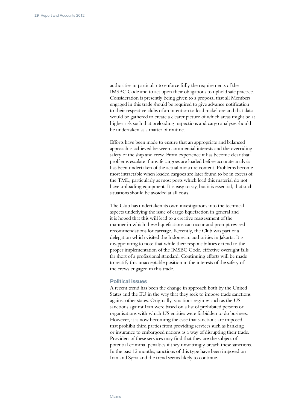authorities in particular to enforce fully the requirements of the IMSBC Code and to act upon their obligations to uphold safe practice. Consideration is presently being given to a proposal that all Members engaged in this trade should be required to give advance notification to their respective clubs of an intention to load nickel ore and that data would be gathered to create a clearer picture of which areas might be at higher risk such that preloading inspections and cargo analyses should be undertaken as a matter of routine.

Efforts have been made to ensure that an appropriate and balanced approach is achieved between commercial interests and the overriding safety of the ship and crew. From experience it has become clear that problems escalate if unsafe cargoes are loaded before accurate analysis has been undertaken of the actual moisture content. Problems become most intractable when loaded cargoes are later found to be in excess of the TML, particularly as most ports which load this material do not have unloading equipment. It is easy to say, but it is essential, that such situations should be avoided at all costs.

The Club has undertaken its own investigations into the technical aspects underlying the issue of cargo liquefaction in general and it is hoped that this will lead to a creative reassessment of the manner in which these liquefactions can occur and prompt revised recommendations for carriage. Recently, the Club was part of a delegation which visited the Indonesian authorities in Jakarta. It is disappointing to note that while their responsibilities extend to the proper implementation of the IMSBC Code, effective oversight falls far short of a professional standard. Continuing efforts will be made to rectify this unacceptable position in the interests of the safety of the crews engaged in this trade.

#### **Political issues**

A recent trend has been the change in approach both by the United States and the EU in the way that they seek to impose trade sanctions against other states. Originally, sanctions regimes such as the US sanctions against Iran were based on a list of prohibited persons or organisations with which US entities were forbidden to do business. However, it is now becoming the case that sanctions are imposed that prohibit third parties from providing services such as banking or insurance to embargoed nations as a way of disrupting their trade. Providers of these services may find that they are the subject of potential criminal penalties if they unwittingly breach these sanctions. In the past 12 months, sanctions of this type have been imposed on Iran and Syria and the trend seems likely to continue.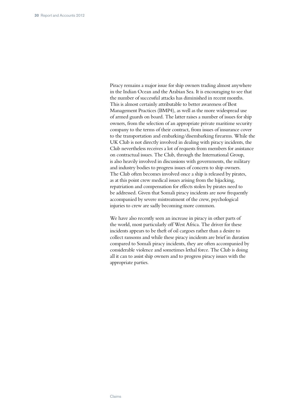Piracy remains a major issue for ship owners trading almost anywhere in the Indian Ocean and the Arabian Sea. It is encouraging to see that the number of successful attacks has diminished in recent months. This is almost certainly attributable to better awareness of Best Management Practices (BMP4), as well as the more widespread use of armed guards on board. The latter raises a number of issues for ship owners, from the selection of an appropriate private maritime security company to the terms of their contract, from issues of insurance cover to the transportation and embarking/disembarking firearms. While the UK Club is not directly involved in dealing with piracy incidents, the Club nevertheless receives a lot of requests from members for assistance on contractual issues. The Club, through the International Group, is also heavily involved in discussions with governments, the military and industry bodies to progress issues of concern to ship owners. The Club often becomes involved once a ship is released by pirates, as at this point crew medical issues arising from the hijacking, repatriation and compensation for effects stolen by pirates need to be addressed. Given that Somali piracy incidents are now frequently accompanied by severe mistreatment of the crew, psychological injuries to crew are sadly becoming more common.

We have also recently seen an increase in piracy in other parts of the world, most particularly off West Africa. The driver for these incidents appears to be theft of oil cargoes rather than a desire to collect ransoms and while these piracy incidents are brief in duration compared to Somali piracy incidents, they are often accompanied by considerable violence and sometimes lethal force. The Club is doing all it can to assist ship owners and to progress piracy issues with the appropriate parties.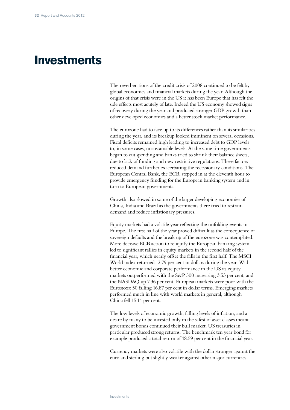## **Investments**

The reverberations of the credit crisis of 2008 continued to be felt by global economies and financial markets during the year. Although the origins of that crisis were in the US it has been Europe that has felt the side effects most acutely of late. Indeed the US economy showed signs of recovery during the year and produced stronger GDP growth than other developed economies and a better stock market performance.

The eurozone had to face up to its differences rather than its similarities during the year, and its breakup looked imminent on several occasions. Fiscal deficits remained high leading to increased debt to GDP levels to, in some cases, unsustainable levels. At the same time governments began to cut spending and banks tried to shrink their balance sheets, due to lack of funding and new restrictive regulations. These factors reduced demand further exacerbating the recessionary conditions. The European Central Bank, the ECB, stepped in at the eleventh hour to provide emergency funding for the European banking system and in turn to European governments.

Growth also slowed in some of the larger developing economies of China, India and Brazil as the governments there tried to restrain demand and reduce inflationary pressures.

Equity markets had a volatile year reflecting the unfolding events in Europe. The first half of the year proved difficult as the consequence of sovereign defaults and the break up of the eurozone was contemplated. More decisive ECB action to reliquify the European banking system led to significant rallies in equity markets in the second half of the financial year, which nearly offset the falls in the first half. The MSCI World index returned -2.79 per cent in dollars during the year. With better economic and corporate performance in the US its equity markets outperformed with the S&P 500 increasing 3.53 per cent, and the NASDAQ up 7.36 per cent. European markets were poor with the Eurostoxx 50 falling 16.87 per cent in dollar terms. Emerging markets performed much in line with world markets in general, although China fell 15.14 per cent.

The low levels of economic growth, falling levels of inflation, and a desire by many to be invested only in the safest of asset classes meant government bonds continued their bull market. US treasuries in particular produced strong returns. The benchmark ten year bond for example produced a total return of 18.59 per cent in the financial year.

Currency markets were also volatile with the dollar stronger against the euro and sterling but slightly weaker against other major currencies.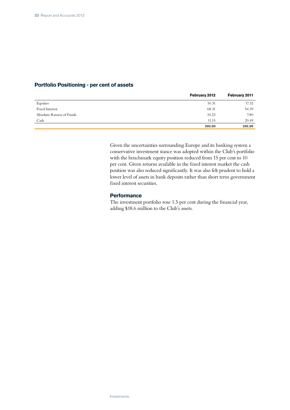## **Portfolio Positioning - per cent of assets**

|                          | February 2012 | February 2011 |
|--------------------------|---------------|---------------|
| Equities                 | 10.31         | 17.32         |
| Fixed Interest           | 68.31         | 54.39         |
| Absolute Return of Funds | 10.23         | 7.80          |
| Cash                     | 11.15         | 20.49         |
|                          | 100.00        | 100.00        |

Given the uncertainties surrounding Europe and its banking system a conservative investment stance was adopted within the Club's portfolio with the benchmark equity position reduced from 15 per cent to 10 per cent. Given returns available in the fixed interest market the cash position was also reduced significantly. It was also felt prudent to hold a lower level of assets in bank deposits rather than short term government fixed interest securities.

### **Performance**

The investment portfolio rose 1.5 per cent during the financial year, adding \$18.6 million to the Club's assets.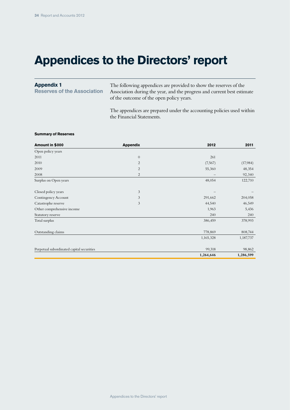# **Appendices to the Directors' report**

#### The following appendices are provided to show the reserves of the Association during the year, and the progress and current best estimate of the outcome of the open policy years. **Appendix 1 Reserves of the Association**

The appendices are prepared under the accounting policies used within the Financial Statements.

#### **Summary of Reserves**

| Amount in \$000                           | <b>Appendix</b> | 2012      | 2011      |
|-------------------------------------------|-----------------|-----------|-----------|
| Open policy years                         |                 |           |           |
| 2011                                      | $\theta$        | 261       |           |
| 2010                                      | 2               | (7, 567)  | (17,984)  |
| 2009                                      | $\overline{2}$  | 55,360    | 48,354    |
| 2008                                      | $\overline{2}$  |           | 92,340    |
| Surplus on Open years                     |                 | 48,054    | 122,710   |
| Closed policy years                       | 3               |           |           |
| Contingency Account                       | 3               | 291,662   | 204,058   |
| Catastrophe reserve                       | 3               | 44,540    | 46,549    |
| Other comprehensive income                |                 | 1,963     | 5,436     |
| Statutory reserve                         |                 | 240       | 240       |
| Total surplus                             |                 | 386,459   | 378,993   |
| Outstanding claims                        |                 | 778,869   | 808,744   |
|                                           |                 | 1,165,328 | 1,187,737 |
| Perpetual subordinated capital securities |                 | 99,318    | 98,862    |
|                                           |                 | 1,264,646 | 1,286,599 |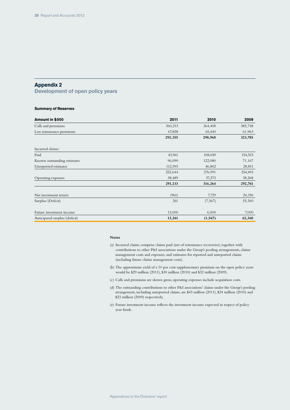## **Appendix 2**

**Development of open policy years**

#### **Summary of Reserves**

| Amount in \$000               | 2011    | 2010     | 2009    |
|-------------------------------|---------|----------|---------|
| Calls and premiums            | 360,213 | 364,408  | 385,748 |
| Less reinsurance premiums     | 67,858  | 65,440   | 61,963  |
|                               | 292,355 | 298,968  | 323,785 |
| Incurred claims:              |         |          |         |
| Paid                          | 43,961  | 108,049  | 154,515 |
| Known outstanding estimates   | 96,090  | 122,080  | 71,167  |
| Unreported estimates          | 112,593 | 46,862   | 28,811  |
|                               | 252,644 | 276,991  | 254,493 |
| Operating expenses            | 38,489  | 37,273   | 38,268  |
|                               | 291,133 | 314,264  | 292,761 |
| Net investment return         | (961)   | 7,729    | 24,336  |
| Surplus/(Deficit)             | 261     | (7, 567) | 55,360  |
| Future investment income      | 13,000  | 6,000    | 7,000   |
| Anticipated surplus/(deficit) | 13,261  | (1, 567) | 62,360  |

#### **Notes**

- (a) Incurred claims comprise claims paid (net of reinsurance recoveries), together with contributions to other P&I associations under the Group's pooling arrangements, claims management costs and expenses, and estimates for reported and unreported claims (including future claims management costs).
- (b) The approximate yield of a 10 per cent supplementary premium on the open policy years would be \$29 million (2011), \$30 million (2010) and \$32 million (2009).
- (c) Calls and premiums are shown gross; operating expenses include acquisition costs.
- (d) The outstanding contributions to other P&I associations' claims under the Group's pooling arrangement, including unreported claims, are \$43 million (2011), \$24 million (2010) and \$23 million (2009) respectively.
- (e) Future investment income reflects the investment income expected in respect of policy year funds.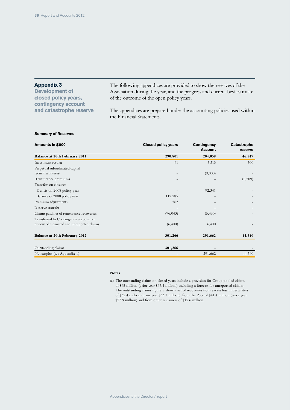## **Appendix 3**

**Development of closed policy years, contingency account and catastrophe reserve** The following appendices are provided to show the reserves of the Association during the year, and the progress and current best estimate of the outcome of the open policy years.

The appendices are prepared under the accounting policies used within the Financial Statements.

#### **Summary of Reserves**

| Amounts in \$000                          | <b>Closed policy years</b> | <b>Contingency</b><br><b>Account</b> | Catastrophe<br>reserve |
|-------------------------------------------|----------------------------|--------------------------------------|------------------------|
| Balance at 20th February 2011             | 290,801                    | 204,058                              | 46,549                 |
| Investment return                         | 61                         | 3,313                                | 500                    |
| Perpetual subordinated capital            |                            |                                      |                        |
| securities interest                       |                            | (9,000)                              |                        |
| Reinsurance premiums                      |                            |                                      | (2,509)                |
| Transfers on closure:                     |                            |                                      |                        |
| Deficit on 2008 policy year               |                            | 92,341                               |                        |
| Balance of 2008 policy year               | 112,285                    |                                      |                        |
| Premium adjustments                       | 562                        |                                      |                        |
| Reserve transfer                          |                            |                                      |                        |
| Claims paid net of reinsurance recoveries | (96, 043)                  | (5,450)                              |                        |
| Transferred to Contingency account on     |                            |                                      |                        |
| review of estimated and unreported claims | (6,400)                    | 6,400                                |                        |
| Balance at 20th February 2012             | 301,266                    | 291,662                              | 44,540                 |
|                                           |                            |                                      |                        |
| Outstanding claims                        | 301,266                    |                                      |                        |
| Net surplus (see Appendix 1)              |                            | 291,662                              | 44,540                 |

#### **Notes**

(a) The outstanding claims on closed years include a provision for Group pooled claims of \$65 million (prior year \$67.4 million) including a forecast for unreported claims. The outstanding claims figure is shown net of recoveries from excess loss underwriters of \$32.4 million (prior year \$33.7 million), from the Pool of \$41.4 million (prior year \$57.9 million) and from other reinsurers of \$15.6 million.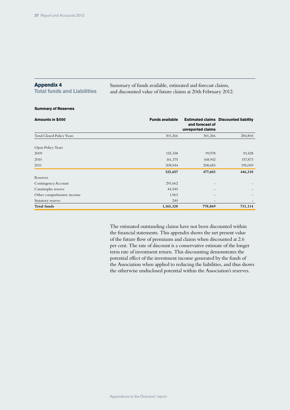## **Appendix 4**

**Total funds and Liabilities**

Summary of funds available, estimated and forecast claims, and discounted value of future claims at 20th February 2012.

#### **Summary of Reserves**

| Amounts in \$000                 | <b>Funds available</b> | and forecast of<br>unreported claims | <b>Estimated claims Discounted liability</b> |
|----------------------------------|------------------------|--------------------------------------|----------------------------------------------|
| <b>Total Closed Policy Years</b> | 301,266                | 301,266                              | 284,804                                      |
| Open Policy Years                |                        |                                      |                                              |
| 2009                             | 155,338                | 99,978                               | 93,428                                       |
| 2010                             | 161,375                | 168,942                              | 157,873                                      |
| 2011                             | 208,944                | 208,683                              | 195,009                                      |
|                                  | 525,657                | 477,603                              | 446,310                                      |
| Reserves                         |                        |                                      |                                              |
| Contingency Account              | 291,662                |                                      |                                              |
| Catastrophe reserve              | 44,540                 |                                      |                                              |
| Other comprehensive income       | 1,963                  |                                      |                                              |
| Statutory reserve                | 240                    |                                      |                                              |
| <b>Total funds</b>               | 1,165,328              | 778,869                              | 731,114                                      |

The estimated outstanding claims have not been discounted within the financial statements. This appendix shows the net present value of the future flow of premiums and claims when discounted at 2.6 per cent. The rate of discount is a conservative estimate of the longer term rate of investment return. This discounting demonstrates the potential effect of the investment income generated by the funds of the Association when applied to reducing the liabilities, and thus shows the otherwise undisclosed potential within the Association's reserves.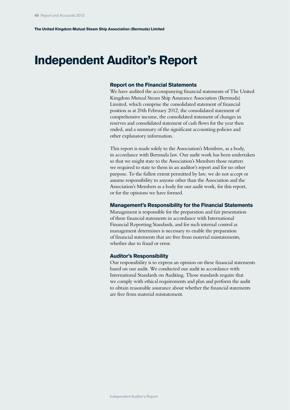## **Independent Auditor's Report**

### **Report on the Financial Statements**

We have audited the accompanying financial statements of The United Kingdom Mutual Steam Ship Assurance Association (Bermuda) Limited, which comprise the consolidated statement of financial position as at 20th February 2012, the consolidated statement of comprehensive income, the consolidated statement of changes in reserves and consolidated statement of cash flows for the year then ended, and a summary of the significant accounting policies and other explanatory information.

This report is made solely to the Association's Members, as a body, in accordance with Bermuda law. Our audit work has been undertaken so that we might state to the Association's Members those matters we required to state to them in an auditor's report and for no other purpose. To the fullest extent permitted by law, we do not accept or assume responsibility to anyone other than the Association and the Association's Members as a body for our audit work, for this report, or for the opinions we have formed.

### **Management's Responsibility for the Financial Statements**

Management is responsible for the preparation and fair presentation of these financial statements in accordance with International Financial Reporting Standards, and for such internal control as management determines is necessary to enable the preparation of financial statements that are free from material misstatements, whether due to fraud or error.

#### **Auditor's Responsibility**

Our responsibility is to express an opinion on these financial statements based on our audit. We conducted our audit in accordance with International Standards on Auditing. Those standards require that we comply with ethical requirements and plan and perform the audit to obtain reasonable assurance about whether the financial statements are free from material misstatement.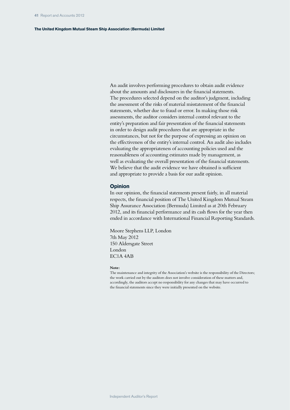#### **The United Kingdom Mutual Steam Ship Association (Bermuda) Limited**

An audit involves performing procedures to obtain audit evidence about the amounts and disclosures in the financial statements. The procedures selected depend on the auditor's judgment, including the assessment of the risks of material misstatement of the financial statements, whether due to fraud or error. In making those risk assessments, the auditor considers internal control relevant to the entity's preparation and fair presentation of the financial statements in order to design audit procedures that are appropriate in the circumstances, but not for the purpose of expressing an opinion on the effectiveness of the entity's internal control. An audit also includes evaluating the appropriateness of accounting policies used and the reasonableness of accounting estimates made by management, as well as evaluating the overall presentation of the financial statements. We believe that the audit evidence we have obtained is sufficient and appropriate to provide a basis for our audit opinion.

#### **Opinion**

In our opinion, the financial statements present fairly, in all material respects, the financial position of The United Kingdom Mutual Steam Ship Assurance Association (Bermuda) Limited as at 20th February 2012, and its financial performance and its cash flows for the year then ended in accordance with International Financial Reporting Standards.

Moore Stephens LLP, London 7th May 2012 150 Aldersgate Street London EC1A 4AB

#### **Note:**

The maintenance and integrity of the Association's website is the responsibility of the Directors; the work carried out by the auditors does not involve consideration of these matters and, accordingly, the auditors accept no responsibility for any changes that may have occurred to the financial statements since they were initially presented on the website.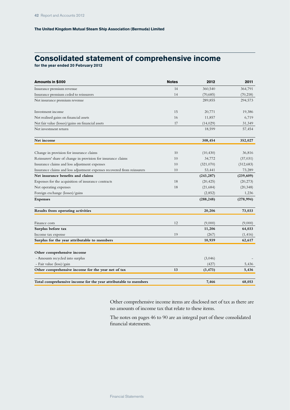## **Consolidated statement of comprehensive income**

**for the year ended 20 February 2012**

| Amounts in \$000                                                        | <b>Notes</b> | 2012       | 2011       |
|-------------------------------------------------------------------------|--------------|------------|------------|
| Insurance premium revenue                                               | 14           | 360,540    | 364,791    |
| Insurance premium ceded to reinsurers                                   | 14           | (70,685)   | (70, 218)  |
| Net insurance premium revenue                                           |              | 289,855    | 294,573    |
| Investment income                                                       | 15           | 20,771     | 19,386     |
| Net realised gains on financial assets                                  | 16           | 11,857     | 6,719      |
| Net fair value (losses)/gains on financial assets                       | 17           | (14, 029)  | 31,349     |
| Net investment return                                                   |              | 18,599     | 57,454     |
| Net income                                                              |              | 308,454    | 352,027    |
| Change in provision for insurance claims                                | 10           | (10, 430)  | 36,816     |
| Reinsurers' share of change in provision for insurance claims           | 10           | 34,772     | (37, 031)  |
| Insurance claims and loss adjustment expenses                           | 10           | (321,070)  | (312, 683) |
| Insurance claims and loss adjustment expenses recovered from reinsurers | 10           | 53,441     | 73,289     |
| Net insurance benefits and claims                                       |              | (243, 287) | (239, 609) |
| Expenses for the acquisition of insurance contracts                     | 18           | (20, 425)  | (20, 273)  |
| Net operating expenses                                                  | 18           | (21, 684)  | (20, 348)  |
| Foreign exchange (losses)/gains                                         |              | (2, 852)   | 1,236      |
| <b>Expenses</b>                                                         |              | (288, 248) | (278, 994) |
| Results from operating activities                                       |              | 20,206     | 73,033     |
| Finance costs                                                           | 12           | (9,000)    | (9,000)    |
| Surplus before tax                                                      |              | 11,206     | 64,033     |
| Income tax expense                                                      | 19           | (267)      | (1, 416)   |
| Surplus for the year attributable to members                            |              | 10,939     | 62,617     |
| Other comprehensive income                                              |              |            |            |
| - Amounts recycled into surplus                                         |              | (3,046)    |            |
| - Fair value (loss)/gain                                                |              | (427)      | 5,436      |
| Other comprehensive income for the year net of tax                      | 13           | (3, 473)   | 5,436      |
| Total comprehensive income for the year attributable to members         |              | 7,466      | 68,053     |

Other comprehensive income items are disclosed net of tax as there are no amounts of income tax that relate to these items.

The notes on pages 46 to 90 are an integral part of these consolidated financial statements.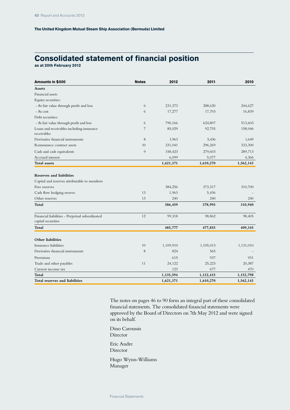# **Consolidated statement of financial position**

**as at 20th February 2012**

| Amounts in \$000                                                     | <b>Notes</b> | 2012      | 2011      | 2010      |
|----------------------------------------------------------------------|--------------|-----------|-----------|-----------|
| <b>Assets</b>                                                        |              |           |           |           |
| Financial assets                                                     |              |           |           |           |
| Equity securities:                                                   |              |           |           |           |
| - At fair value through profit and loss                              | 6            | 231,373   | 288,620   | 244,627   |
| - At cost                                                            | 6            | 17,277    | 17,703    | 16,839    |
| Debt securities:                                                     |              |           |           |           |
| - At fair value through profit and loss                              | 6            | 790,166   | 624,807   | 513,603   |
| Loans and receivables including insurance<br>receivables             | 7            | 85,029    | 92,755    | 158,046   |
| Derivative financial instruments                                     | 8            | 1,963     | 5,436     | 1,649     |
| Reinsurance contract assets                                          | 10           | 331,041   | 296,269   | 333,300   |
| Cash and cash equivalents                                            | 9            | 158,423   | 279,603   | 289,713   |
| Accrued interest                                                     |              | 6,099     | 5,077     | 4,366     |
| <b>Total assets</b>                                                  |              | 1,621,371 | 1,610,270 | 1,562,143 |
| <b>Reserves and liabilities</b>                                      |              |           |           |           |
| Capital and reserves attributable to members                         |              |           |           |           |
| Free reserves                                                        |              | 384,256   | 373,317   | 310,700   |
| Cash flow hedging reserve                                            | 13           | 1,963     | 5,436     |           |
| Other reserves                                                       | 13           | 240       | 240       | 240       |
| Total                                                                |              | 386,459   | 378,993   | 310,940   |
| Financial liabilities - Perpetual subordinated<br>capital securities | 12           | 99,318    | 98,862    | 98,405    |
| Total                                                                |              | 485,777   | 477,855   | 409,345   |
| <b>Other liabilities</b>                                             |              |           |           |           |
| Insurance liabilities                                                | 10           | 1,109,910 | 1,105,013 | 1,131,010 |
| Derivative financial instruments                                     | 8            | 824       | 565       |           |
| Provisions                                                           |              | 615       | 937       | 931       |
| Trade and other payables                                             | 11           | 24,122    | 25,223    | 20,387    |
| Current income tax                                                   |              | 123       | 677       | 470       |
| Total                                                                |              | 1,135,594 | 1,132,415 | 1,152,798 |
| Total reserves and liabilities                                       |              | 1,621,371 | 1,610,270 | 1,562,143 |

The notes on pages 46 to 90 form an integral part of these consolidated financial statements. The consolidated financial statements were approved by the Board of Directors on 7th May 2012 and were signed on its behalf.

Dino Caroussis Director Eric Andre Director Hugo Wynn-Williams Manager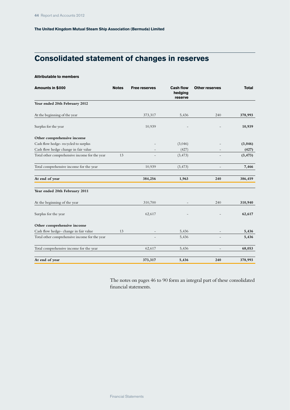# **Consolidated statement of changes in reserves**

#### **Attributable to members**

| Amounts in \$000                              | <b>Notes</b> | <b>Free reserves</b> | <b>Cash flow</b><br>hedging<br>reserve | <b>Other reserves</b> | <b>Total</b> |
|-----------------------------------------------|--------------|----------------------|----------------------------------------|-----------------------|--------------|
| Year ended 20th February 2012                 |              |                      |                                        |                       |              |
| At the beginning of the year                  |              | 373,317              | 5,436                                  | 240                   | 378,993      |
| Surplus for the year                          |              | 10,939               |                                        |                       | 10,939       |
| Other comprehensive income                    |              |                      |                                        |                       |              |
| Cash flow hedge-recycled to surplus           |              |                      | (3,046)                                |                       | (3,046)      |
| Cash flow hedge change in fair value          |              |                      | (427)                                  |                       | (427)        |
| Total other comprehensive income for the year | 13           |                      | (3, 473)                               |                       | (3, 473)     |
| Total comprehensive income for the year       |              | 10,939               | (3, 473)                               |                       | 7,466        |
| At end of year                                |              | 384,256              | 1,963                                  | 240                   | 386,459      |
| Year ended 20th February 2011                 |              |                      |                                        |                       |              |
| At the beginning of the year                  |              | 310,700              |                                        | 240                   | 310,940      |
| Surplus for the year                          |              | 62,617               |                                        |                       | 62,617       |
| Other comprehensive income                    |              |                      |                                        |                       |              |
| Cash flow hedge- change in fair value         | 13           |                      | 5,436                                  |                       | 5,436        |
| Total other comprehensive income for the year |              |                      | 5,436                                  |                       | 5,436        |
| Total comprehensive income for the year       |              | 62,617               | 5,436                                  |                       | 68,053       |
| At end of year                                |              | 373,317              | 5,436                                  | 240                   | 378,993      |

The notes on pages 46 to 90 form an integral part of these consolidated financial statements.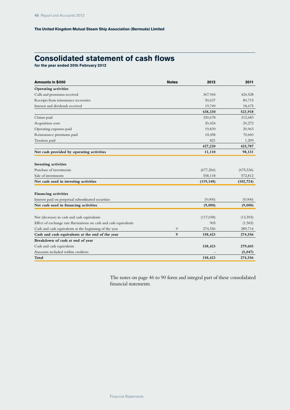# **Consolidated statement of cash flows**

**for the year ended 20th February 2012**

| Amounts in \$000                                                  | <b>Notes</b> | 2012       | 2011       |
|-------------------------------------------------------------------|--------------|------------|------------|
| <b>Operating activities</b>                                       |              |            |            |
| Calls and premiums received                                       |              | 367,944    | 424,528    |
| Receipts from reinsurance recoveries                              |              | 50,637     | 80,715     |
| Interest and dividends received                                   |              | 19,749     | 18,675     |
|                                                                   |              | 438,330    | 523,918    |
| Claims paid                                                       |              | 320,678    | 312,683    |
| Acquisition costs                                                 |              | 20,424     | 20,272     |
| Operating expenses paid                                           |              | 19,839     | 20,963     |
| Reinsurance premiums paid                                         |              | 65,458     | 70,660     |
| Taxation paid                                                     |              | 821        | 1,209      |
|                                                                   |              | 427,220    | 425,787    |
| Net cash provided by operating activities                         |              | 11,110     | 98,131     |
| <b>Investing activities</b>                                       |              |            |            |
| Purchase of investments                                           |              | (677, 266) | (675, 536) |
| Sale of investments                                               |              | 558,118    | 572,812    |
| Net cash used in investing activities                             |              | (119, 148) | (102, 724) |
| <b>Financing activities</b>                                       |              |            |            |
| Interest paid on perpetual subordinated securities                |              | (9,000)    | (9,000)    |
| Net cash used in financing activities                             |              | (9,000)    | (9,000)    |
| Net (decrease) in cash and cash equivalents                       |              | (117, 038) | (13,593)   |
| Effect of exchange rate fluctuations on cash and cash equivalents |              | 905        | (1, 565)   |
| Cash and cash equivalents at the beginning of the year            | 9            | 274,556    | 289,714    |
| Cash and cash equivalents at the end of the year                  | 9            | 158,423    | 274,556    |
| Breakdown of cash at end of year                                  |              |            |            |
| Cash and cash equivalents                                         |              | 158,423    | 279,603    |
| Amounts included within creditors                                 |              |            | (5,047)    |
| Total                                                             |              | 158,423    | 274,556    |

The notes on page 46 to 90 form and integral part of these consolidated financial statements.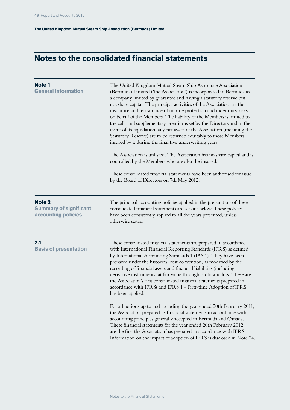# **Notes to the consolidated financial statements**

| Note 1<br><b>General information</b>                           | The United Kingdom Mutual Steam Ship Assurance Association<br>(Bermuda) Limited ('the Association') is incorporated in Bermuda as<br>a company limited by guarantee and having a statutory reserve but<br>not share capital. The principal activities of the Association are the<br>insurance and reinsurance of marine protection and indemnity risks<br>on behalf of the Members. The liability of the Members is limited to<br>the calls and supplementary premiums set by the Directors and in the<br>event of its liquidation, any net assets of the Association (including the<br>Statutory Reserve) are to be returned equitably to those Members<br>insured by it during the final five underwriting years.<br>The Association is unlisted. The Association has no share capital and is<br>controlled by the Members who are also the insured.<br>These consolidated financial statements have been authorised for issue<br>by the Board of Directors on 7th May 2012.                                                               |
|----------------------------------------------------------------|----------------------------------------------------------------------------------------------------------------------------------------------------------------------------------------------------------------------------------------------------------------------------------------------------------------------------------------------------------------------------------------------------------------------------------------------------------------------------------------------------------------------------------------------------------------------------------------------------------------------------------------------------------------------------------------------------------------------------------------------------------------------------------------------------------------------------------------------------------------------------------------------------------------------------------------------------------------------------------------------------------------------------------------------|
| Note 2<br><b>Summary of significant</b><br>accounting policies | The principal accounting policies applied in the preparation of these<br>consolidated financial statements are set out below. These policies<br>have been consistently applied to all the years presented, unless<br>otherwise stated.                                                                                                                                                                                                                                                                                                                                                                                                                                                                                                                                                                                                                                                                                                                                                                                                       |
| 2.1<br><b>Basis of presentation</b>                            | These consolidated financial statements are prepared in accordance<br>with International Financial Reporting Standards (IFRS) as defined<br>by International Accounting Standards 1 (IAS 1). They have been<br>prepared under the historical cost convention, as modified by the<br>recording of financial assets and financial liabilities (including<br>derivative instruments) at fair value through profit and loss. These are<br>the Association's first consolidated financial statements prepared in<br>accordance with IFRSs and IFRS 1 - First-time Adoption of IFRS<br>has been applied.<br>For all periods up to and including the year ended 20th February 2011,<br>the Association prepared its financial statements in accordance with<br>accounting principles generally accepted in Bermuda and Canada.<br>These financial statements for the year ended 20th February 2012<br>are the first the Association has prepared in accordance with IFRS.<br>Information on the impact of adoption of IFRS is disclosed in Note 24. |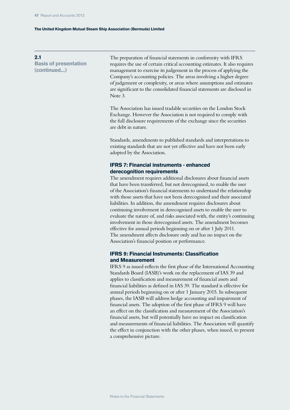**2.1 Basis of presentation (continued...)**

The preparation of financial statements in conformity with IFRS requires the use of certain critical accounting estimates. It also requires management to exercise its judgement in the process of applying the Company's accounting policies. The areas involving a higher degree of judgement or complexity, or areas where assumptions and estimates are significant to the consolidated financial statements are disclosed in Note 3.

The Association has issued tradable securities on the London Stock Exchange. However the Association is not required to comply with the full disclosure requirements of the exchange since the securities are debt in nature.

Standards, amendments to published standards and interpretations to existing standards that are not yet effective and have not been early adopted by the Association.

# **IFRS 7: Financial instruments - enhanced derecognition requirements**

The amendment requires additional disclosures about financial assets that have been transferred, but not derecognised, to enable the user of the Association's financial statements to understand the relationship with those assets that have not been derecognised and their associated liabilities. In addition, the amendment requires disclosures about continuing involvement in derecognised assets to enable the user to evaluate the nature of, and risks associated with, the entity's continuing involvement in those derecognised assets. The amendment becomes effective for annual periods beginning on or after 1 July 2011. The amendment affects disclosure only and has no impact on the Association's financial position or performance.

# **IFRS 9: Financial Instruments: Classification and Measurement**

IFRS 9 as issued reflects the first phase of the International Accounting Standards Board (IASB)'s work on the replacement of IAS 39 and applies to classification and measurement of financial assets and financial liabilities as defined in IAS 39. The standard is effective for annual periods beginning on or after 1 January 2015. In subsequent phases, the IASB will address hedge accounting and impairment of financial assets. The adoption of the first phase of IFRS 9 will have an effect on the classification and measurement of the Association's financial assets, but will potentially have no impact on classification and measurements of financial liabilities. The Association will quantify the effect in conjunction with the other phases, when issued, to present a comprehensive picture.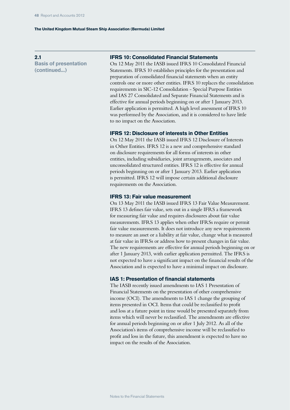**2.1 Basis of presentation (continued...)**

#### **IFRS 10: Consolidated Financial Statements**

On 12 May 2011 the IASB issued IFRS 10 Consolidated Financial Statements. IFRS 10 establishes principles for the presentation and preparation of consolidated financial statements when an entity controls one or more other entities. IFRS 10 replaces the consolidation requirements in SIC-12 Consolidation - Special Purpose Entities and IAS 27 Consolidated and Separate Financial Statements and is effective for annual periods beginning on or after 1 January 2013. Earlier application is permitted. A high level assessment of IFRS 10 was performed by the Association, and it is considered to have little to no impact on the Association.

## **IFRS 12: Disclosure of interests in Other Entities**

On 12 May 2011 the IASB issued IFRS 12 Disclosure of Interests in Other Entities. IFRS 12 is a new and comprehensive standard on disclosure requirements for all forms of interests in other entities, including subsidiaries, joint arrangements, associates and unconsolidated structured entities. IFRS 12 is effective for annual periods beginning on or after 1 January 2013. Earlier application is permitted. IFRS 12 will impose certain additional disclosure requirements on the Association.

#### **IFRS 13: Fair value measurement**

On 13 May 2011 the IASB issued IFRS 13 Fair Value Measurement. IFRS 13 defines fair value, sets out in a single IFRS a framework for measuring fair value and requires disclosures about fair value measurements. IFRS 13 applies when other IFRSs require or permit fair value measurements. It does not introduce any new requirements to measure an asset or a liability at fair value, change what is measured at fair value in IFRSs or address how to present changes in fair value. The new requirements are effective for annual periods beginning on or after 1 January 2013, with earlier application permitted. The IFRS is not expected to have a significant impact on the financial results of the Association and is expected to have a minimal impact on disclosure.

#### **IAS 1: Presentation of financial statements**

The IASB recently issued amendments to IAS 1 Presentation of Financial Statements on the presentation of other comprehensive income (OCI). The amendments to IAS 1 change the grouping of items presented in OCI. Items that could be reclassified to profit and loss at a future point in time would be presented separately from items which will never be reclassified. The amendments are effective for annual periods beginning on or after 1 July 2012. As all of the Association's items of comprehensive income will be reclassified to profit and loss in the future, this amendment is expected to have no impact on the results of the Association.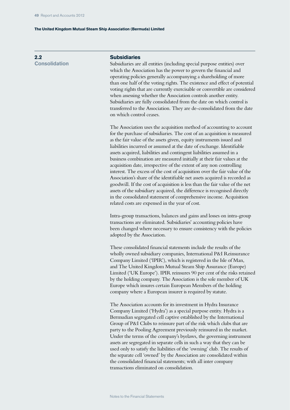**2.2 Consolidation**

#### **Subsidiaries**

Subsidiaries are all entities (including special purpose entities) over which the Association has the power to govern the financial and operating policies generally accompanying a shareholding of more than one half of the voting rights. The existence and effect of potential voting rights that are currently exercisable or convertible are considered when assessing whether the Association controls another entity. Subsidiaries are fully consolidated from the date on which control is transferred to the Association. They are de-consolidated from the date on which control ceases.

The Association uses the acquisition method of accounting to account for the purchase of subsidiaries. The cost of an acquisition is measured as the fair value of the assets given, equity instruments issued and liabilities incurred or assumed at the date of exchange. Identifiable assets acquired, liabilities and contingent liabilities assumed in a business combination are measured initially at their fair values at the acquisition date, irrespective of the extent of any non controlling interest. The excess of the cost of acquisition over the fair value of the Association's share of the identifiable net assets acquired is recorded as goodwill. If the cost of acquisition is less than the fair value of the net assets of the subsidiary acquired, the difference is recognised directly in the consolidated statement of comprehensive income. Acquisition related costs are expensed in the year of cost.

Intra-group transactions, balances and gains and losses on intra-group transactions are eliminated. Subsidiaries' accounting policies have been changed where necessary to ensure consistency with the policies adopted by the Association.

These consolidated financial statements include the results of the wholly owned subsidiary companies, International P&I Reinsurance Company Limited ('IPIR'), which is registered in the Isle of Man, and The United Kingdom Mutual Steam Ship Assurance (Europe) Limited ('UK Europe'). IPIR reinsures 90 per cent of the risks retained by the holding company. The Association is the sole member of UK Europe which insures certain European Members of the holding company where a European insurer is required by statute.

The Association accounts for its investment in Hydra Insurance Company Limited ('Hydra') as a special purpose entity. Hydra is a Bermudian segregated cell captive established by the International Group of P&I Clubs to reinsure part of the risk which clubs that are party to the Pooling Agreement previously reinsured in the market. Under the terms of the company's byelaws, the governing instrument assets are segregated in separate cells in such a way that they can be used only to satisfy the liabilities of the 'owning' club. The results of the separate cell 'owned' by the Association are consolidated within the consolidated financial statements; with all inter company transactions eliminated on consolidation.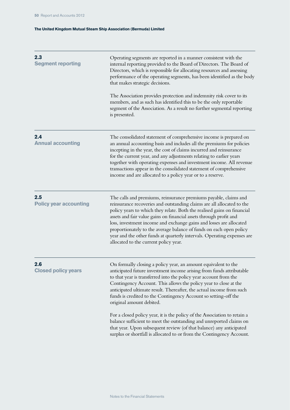| 2.3<br><b>Segment reporting</b>      | Operating segments are reported in a manner consistent with the<br>internal reporting provided to the Board of Directors. The Board of<br>Directors, which is responsible for allocating resources and assessing<br>performance of the operating segments, has been identified as the body<br>that makes strategic decisions.<br>The Association provides protection and indemnity risk cover to its<br>members, and as such has identified this to be the only reportable<br>segment of the Association. As a result no further segmental reporting<br>is presented. |
|--------------------------------------|-----------------------------------------------------------------------------------------------------------------------------------------------------------------------------------------------------------------------------------------------------------------------------------------------------------------------------------------------------------------------------------------------------------------------------------------------------------------------------------------------------------------------------------------------------------------------|
| 2.4<br><b>Annual accounting</b>      | The consolidated statement of comprehensive income is prepared on<br>an annual accounting basis and includes all the premiums for policies<br>incepting in the year, the cost of claims incurred and reinsurance<br>for the current year, and any adjustments relating to earlier years<br>together with operating expenses and investment income. All revenue<br>transactions appear in the consolidated statement of comprehensive<br>income and are allocated to a policy year or to a reserve.                                                                    |
| 2.5<br><b>Policy year accounting</b> | The calls and premiums, reinsurance premiums payable, claims and<br>reinsurance recoveries and outstanding claims are all allocated to the<br>policy years to which they relate. Both the realised gains on financial<br>assets and fair value gains on financial assets through profit and<br>loss, investment income and exchange gains and losses are allocated<br>proportionately to the average balance of funds on each open policy<br>year and the other funds at quarterly intervals. Operating expenses are<br>allocated to the current policy year.         |
| 2.6<br><b>Closed policy years</b>    | On formally closing a policy year, an amount equivalent to the<br>anticipated future investment income arising from funds attributable<br>to that year is transferred into the policy year account from the<br>Contingency Account. This allows the policy year to close at the<br>anticipated ultimate result. Thereafter, the actual income from such<br>funds is credited to the Contingency Account so setting-off the<br>original amount debited.                                                                                                                |
|                                      | For a closed policy year, it is the policy of the Association to retain a<br>balance sufficient to meet the outstanding and unreported claims on<br>that year. Upon subsequent review (of that balance) any anticipated<br>surplus or shortfall is allocated to or from the Contingency Account.                                                                                                                                                                                                                                                                      |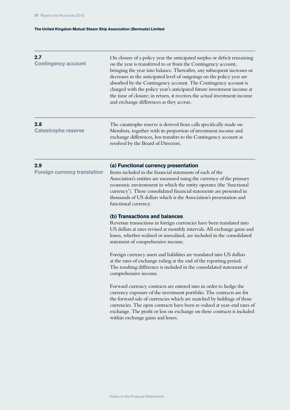| 2.7<br><b>Contingency account</b>          | On closure of a policy year the anticipated surplus or deficit remaining<br>on the year is transferred to or from the Contingency account,<br>bringing the year into balance. Thereafter, any subsequent increases or<br>decreases in the anticipated level of outgoings on the policy year are<br>absorbed by the Contingency account. The Contingency account is<br>charged with the policy year's anticipated future investment income at<br>the time of closure; in return, it receives the actual investment income<br>and exchange differences as they accrue. |
|--------------------------------------------|----------------------------------------------------------------------------------------------------------------------------------------------------------------------------------------------------------------------------------------------------------------------------------------------------------------------------------------------------------------------------------------------------------------------------------------------------------------------------------------------------------------------------------------------------------------------|
| 2.8<br><b>Catastrophe reserve</b>          | The catastrophe reserve is derived from calls specifically made on<br>Members, together with its proportion of investment income and<br>exchange differences, less transfers to the Contingency account as<br>resolved by the Board of Directors.                                                                                                                                                                                                                                                                                                                    |
| 2.9<br><b>Foreign currency translation</b> | (a) Functional currency presentation<br>Items included in the financial statements of each of the<br>Association's entities are measured using the currency of the primary<br>economic environment in which the entity operates (the 'functional<br>currency'). These consolidated financial statements are presented in<br>thousands of US dollars which is the Association's presentation and<br>functional currency.                                                                                                                                              |
|                                            | (b) Transactions and balances<br>Revenue transactions in foreign currencies have been translated into<br>US dollars at rates revised at monthly intervals. All exchange gains and<br>losses, whether realised or unrealised, are included in the consolidated<br>statement of comprehensive income.                                                                                                                                                                                                                                                                  |
|                                            | Foreign currency assets and liabilities are translated into US dollars<br>at the rates of exchange ruling at the end of the reporting period.<br>The resulting difference is included in the consolidated statement of<br>comprehensive income.                                                                                                                                                                                                                                                                                                                      |
|                                            | Forward currency contracts are entered into in order to hedge the<br>currency exposure of the investment portfolio. The contracts are for<br>the forward sale of currencies which are matched by holdings of those<br>currencies. The open contracts have been re-valued at year-end rates of<br>exchange. The profit or loss on exchange on these contracts is included<br>within exchange gains and losses.                                                                                                                                                        |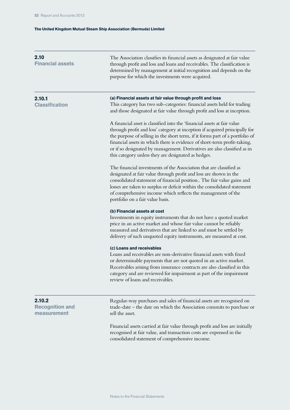| 2.10<br><b>Financial assets</b>                 | The Association classifies its financial assets as designated at fair value<br>through profit and loss and loans and receivables. The classification is<br>determined by management at initial recognition and depends on the<br>purpose for which the investments were acquired.                                                                                                                                                                     |
|-------------------------------------------------|-------------------------------------------------------------------------------------------------------------------------------------------------------------------------------------------------------------------------------------------------------------------------------------------------------------------------------------------------------------------------------------------------------------------------------------------------------|
| 2.10.1<br><b>Classification</b>                 | (a) Financial assets at fair value through profit and loss<br>This category has two sub-categories: financial assets held for trading<br>and those designated at fair value through profit and loss at inception.                                                                                                                                                                                                                                     |
|                                                 | A financial asset is classified into the 'financial assets at fair value<br>through profit and loss' category at inception if acquired principally for<br>the purpose of selling in the short term, if it forms part of a portfolio of<br>financial assets in which there is evidence of short-term profit-taking,<br>or if so designated by management. Derivatives are also classified as in<br>this category unless they are designated as hedges. |
|                                                 | The financial investments of the Association that are classified as<br>designated at fair value through profit and loss are shown in the<br>consolidated statement of financial position The fair value gains and<br>losses are taken to surplus or deficit within the consolidated statement<br>of comprehensive income which reflects the management of the<br>portfolio on a fair value basis.                                                     |
|                                                 | (b) Financial assets at cost<br>Investments in equity instruments that do not have a quoted market<br>price in an active market and whose fair value cannot be reliably<br>measured and derivatives that are linked to and must be settled by<br>delivery of such unquoted equity instruments, are measured at cost.                                                                                                                                  |
|                                                 | (c) Loans and receivables<br>Loans and receivables are non-derivative financial assets with fixed<br>or determinable payments that are not quoted in an active market.<br>Receivables arising from insurance contracts are also classified in this<br>category and are reviewed for impairment as part of the impairment<br>review of loans and receivables.                                                                                          |
| 2.10.2<br><b>Recognition and</b><br>measurement | Regular-way purchases and sales of financial assets are recognised on<br>trade-date – the date on which the Association commits to purchase or<br>sell the asset.                                                                                                                                                                                                                                                                                     |
|                                                 | Financial assets carried at fair value through profit and loss are initially<br>recognised at fair value, and transaction costs are expensed in the<br>consolidated statement of comprehensive income.                                                                                                                                                                                                                                                |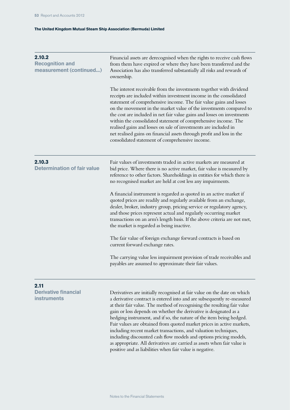| 2.10.2<br><b>Recognition and</b><br>measurement (continued) | Financial assets are derecognised when the rights to receive cash flows<br>from them have expired or where they have been transferred and the<br>Association has also transferred substantially all risks and rewards of<br>ownership.                                                                                                                                                                                                                                                                                                                                                                                             |  |  |
|-------------------------------------------------------------|------------------------------------------------------------------------------------------------------------------------------------------------------------------------------------------------------------------------------------------------------------------------------------------------------------------------------------------------------------------------------------------------------------------------------------------------------------------------------------------------------------------------------------------------------------------------------------------------------------------------------------|--|--|
|                                                             | The interest receivable from the investments together with dividend<br>receipts are included within investment income in the consolidated<br>statement of comprehensive income. The fair value gains and losses<br>on the movement in the market value of the investments compared to<br>the cost are included in net fair value gains and losses on investments<br>within the consolidated statement of comprehensive income. The<br>realised gains and losses on sale of investments are included in<br>net realised gains on financial assets through profit and loss in the<br>consolidated statement of comprehensive income. |  |  |
| 2.10.3<br><b>Determination of fair value</b>                | Fair values of investments traded in active markets are measured at<br>bid price. Where there is no active market, fair value is measured by<br>reference to other factors. Shareholdings in entities for which there is<br>no recognised market are held at cost less any impairments.                                                                                                                                                                                                                                                                                                                                            |  |  |
|                                                             | A financial instrument is regarded as quoted in an active market if<br>quoted prices are readily and regularly available from an exchange,<br>dealer, broker, industry group, pricing service or regulatory agency,<br>and those prices represent actual and regularly occurring market<br>transactions on an arm's length basis. If the above criteria are not met,<br>the market is regarded as being inactive.                                                                                                                                                                                                                  |  |  |
|                                                             | The fair value of foreign exchange forward contracts is based on<br>current forward exchange rates.                                                                                                                                                                                                                                                                                                                                                                                                                                                                                                                                |  |  |
|                                                             | The carrying value less impairment provision of trade receivables and<br>payables are assumed to approximate their fair values.                                                                                                                                                                                                                                                                                                                                                                                                                                                                                                    |  |  |
| 2.11<br><b>Derivative financial</b>                         | Derivatives are initially recognised at fair value on the date on which                                                                                                                                                                                                                                                                                                                                                                                                                                                                                                                                                            |  |  |
| <b>instruments</b>                                          | a derivative contract is entered into and are subsequently re-measured<br>et their feir value. The method of recognizing the resulting feir value                                                                                                                                                                                                                                                                                                                                                                                                                                                                                  |  |  |

at their fair value. The method of recognising the resulting fair value gain or loss depends on whether the derivative is designated as a hedging instrument, and if so, the nature of the item being hedged. Fair values are obtained from quoted market prices in active markets, including recent market transactions, and valuation techniques, including discounted cash flow models and options pricing models, as appropriate. All derivatives are carried as assets when fair value is positive and as liabilities when fair value is negative.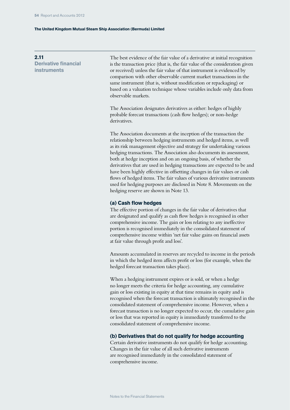**2.11 Derivative financial instruments**

The best evidence of the fair value of a derivative at initial recognition is the transaction price (that is, the fair value of the consideration given or received) unless the fair value of that instrument is evidenced by comparison with other observable current market transactions in the same instrument (that is, without modification or repackaging) or based on a valuation technique whose variables include only data from observable markets.

The Association designates derivatives as either: hedges of highly probable forecast transactions (cash flow hedges); or non-hedge derivatives.

The Association documents at the inception of the transaction the relationship between hedging instruments and hedged items, as well as its risk management objective and strategy for undertaking various hedging transactions. The Association also documents its assessment, both at hedge inception and on an ongoing basis, of whether the derivatives that are used in hedging transactions are expected to be and have been highly effective in offsetting changes in fair values or cash flows of hedged items. The fair values of various derivative instruments used for hedging purposes are disclosed in Note 8. Movements on the hedging reserve are shown in Note 13.

#### **(a) Cash flow hedges**

The effective portion of changes in the fair value of derivatives that are designated and qualify as cash flow hedges is recognised in other comprehensive income. The gain or loss relating to any ineffective portion is recognised immediately in the consolidated statement of comprehensive income within 'net fair value gains on financial assets at fair value through profit and loss'.

Amounts accumulated in reserves are recycled to income in the periods in which the hedged item affects profit or loss (for example, when the hedged forecast transaction takes place).

When a hedging instrument expires or is sold, or when a hedge no longer meets the criteria for hedge accounting, any cumulative gain or loss existing in equity at that time remains in equity and is recognised when the forecast transaction is ultimately recognised in the consolidated statement of comprehensive income. However, when a forecast transaction is no longer expected to occur, the cumulative gain or loss that was reported in equity is immediately transferred to the consolidated statement of comprehensive income.

#### **(b) Derivatives that do not qualify for hedge accounting**

Certain derivative instruments do not qualify for hedge accounting. Changes in the fair value of all such derivative instruments are recognised immediately in the consolidated statement of comprehensive income.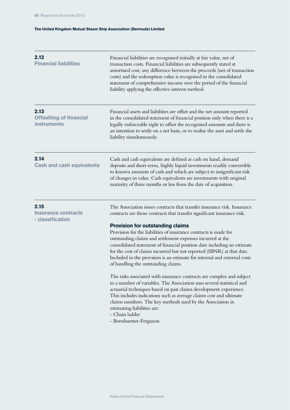| 2.12<br><b>Financial liabilities</b>                         | Financial liabilities are recognised initially at fair value, net of<br>transaction costs. Financial liabilities are subsequently stated at<br>amortised cost; any difference between the proceeds (net of transaction<br>costs) and the redemption value is recognised in the consolidated<br>statement of comprehensive income over the period of the financial<br>liability applying the effective interest method.                                                                                                                                                                                                                                                                                                                                                                                                                                                                                                                                                                                                                         |
|--------------------------------------------------------------|------------------------------------------------------------------------------------------------------------------------------------------------------------------------------------------------------------------------------------------------------------------------------------------------------------------------------------------------------------------------------------------------------------------------------------------------------------------------------------------------------------------------------------------------------------------------------------------------------------------------------------------------------------------------------------------------------------------------------------------------------------------------------------------------------------------------------------------------------------------------------------------------------------------------------------------------------------------------------------------------------------------------------------------------|
| 2.13<br><b>Offsetting of financial</b><br><b>instruments</b> | Financial assets and liabilities are offset and the net amount reported<br>in the consolidated statement of financial position only when there is a<br>legally enforceable right to offset the recognised amounts and there is<br>an intention to settle on a net basis, or to realise the asset and settle the<br>liability simultaneously.                                                                                                                                                                                                                                                                                                                                                                                                                                                                                                                                                                                                                                                                                                   |
| 2.14<br><b>Cash and cash equivalents</b>                     | Cash and cash equivalents are defined as cash on hand, demand<br>deposits and short-term, highly liquid investments readily convertible<br>to known amounts of cash and which are subject to insignificant risk<br>of changes in value. Cash equivalents are investments with original<br>maturity of three months or less from the date of acquisition.                                                                                                                                                                                                                                                                                                                                                                                                                                                                                                                                                                                                                                                                                       |
| 2.15<br><b>Insurance contracts</b><br>- classification       | The Association issues contracts that transfer insurance risk. Insurance<br>contracts are those contracts that transfer significant insurance risk.<br><b>Provision for outstanding claims</b><br>Provision for the liabilities of insurance contracts is made for<br>outstanding claims and settlement expenses incurred at the<br>consolidated statement of financial position date including an estimate<br>for the cost of claims incurred but not reported (IBNR) at that date.<br>Included in the provision is an estimate for internal and external costs<br>of handling the outstanding claims.<br>The risks associated with insurance contracts are complex and subject<br>to a number of variables. The Association uses several statistical and<br>actuarial techniques based on past claims development experience.<br>This includes indications such as average claims cost and ultimate<br>claims numbers. The key methods used by the Association in<br>estimating liabilities are:<br>- Chain ladder<br>- Bornhuetter-Ferguson |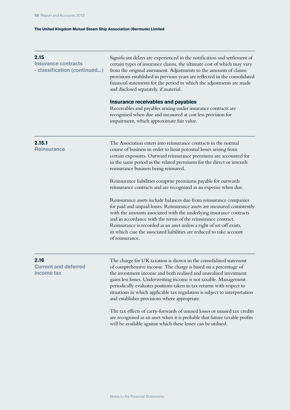| 2.15<br><b>Insurance contracts</b><br>- classification (continued) | Significant delays are experienced in the notification and settlement of<br>certain types of insurance claims, the ultimate cost of which may vary<br>from the original assessment. Adjustments to the amounts of claims<br>provisions established in previous years are reflected in the consolidated<br>financial statements for the period in which the adjustments are made<br>and disclosed separately, if material.                                                              |
|--------------------------------------------------------------------|----------------------------------------------------------------------------------------------------------------------------------------------------------------------------------------------------------------------------------------------------------------------------------------------------------------------------------------------------------------------------------------------------------------------------------------------------------------------------------------|
|                                                                    | <b>Insurance receivables and payables</b><br>Receivables and payables arising under insurance contracts are<br>recognised when due and measured at cost less provision for<br>impairment, which approximate fair value.                                                                                                                                                                                                                                                                |
| 2.15.1<br><b>Reinsurance</b>                                       | The Association enters into reinsurance contracts in the normal<br>course of business in order to limit potential losses arising from<br>certain exposures. Outward reinsurance premiums are accounted for<br>in the same period as the related premiums for the direct or inwards<br>reinsurance business being reinsured.                                                                                                                                                            |
|                                                                    | Reinsurance liabilities comprise premiums payable for outwards<br>reinsurance contracts and are recognised as an expense when due.                                                                                                                                                                                                                                                                                                                                                     |
|                                                                    | Reinsurance assets include balances due from reinsurance companies<br>for paid and unpaid losses. Reinsurance assets are measured consistently<br>with the amounts associated with the underlying insurance contracts<br>and in accordance with the terms of the reinsurance contract.<br>Reinsurance is recorded as an asset unless a right of set-off exists,<br>in which case the associated liabilities are reduced to take account<br>of reinsurance.                             |
| 2.16<br><b>Current and deferred</b><br>income tax                  | The charge for UK taxation is shown in the consolidated statement<br>of comprehensive income. The charge is based on a percentage of<br>the investment income and both realised and unrealised investment<br>gains less losses. Underwriting income is not taxable. Management<br>periodically evaluates positions taken in tax returns with respect to<br>situations in which applicable tax regulation is subject to interpretation<br>and establishes provisions where appropriate. |
|                                                                    | The tax effects of carry-forwards of unused losses or unused tax credits<br>are recognised as an asset when it is probable that future taxable profits<br>will be available against which these losses can be utilised.                                                                                                                                                                                                                                                                |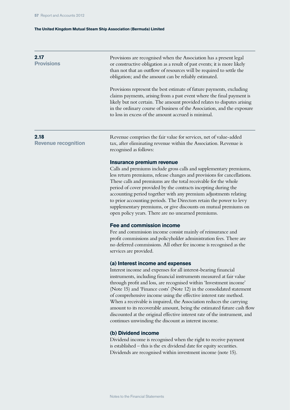# Provisions are recognised when the Association has a present legal or constructive obligation as a result of past events; it is more likely than not that an outflow of resources will be required to settle the obligation; and the amount can be reliably estimated. Provisions represent the best estimate of future payments, excluding **Provisions**

claims payments, arising from a past event where the final payment is likely but not certain. The amount provided relates to disputes arising in the ordinary course of business of the Association, and the exposure to loss in excess of the amount accrued is minimal.

### **2.18**

**2.17** 

**Revenue recognition**

Revenue comprises the fair value for services, net of value-added tax, after eliminating revenue within the Association. Revenue is recognised as follows:

#### **Insurance premium revenue**

Calls and premiums include gross calls and supplementary premiums, less return premiums, release changes and provisions for cancellations. These calls and premiums are the total receivable for the whole period of cover provided by the contracts incepting during the accounting period together with any premium adjustments relating to prior accounting periods. The Directors retain the power to levy supplementary premiums, or give discounts on mutual premiums on open policy years. There are no unearned premiums.

#### **Fee and commission income**

Fee and commission income consist mainly of reinsurance and profit commissions and policyholder administration fees. There are no deferred commissions. All other fee income is recognised as the services are provided.

#### **(a) Interest income and expenses**

Interest income and expenses for all interest-bearing financial instruments, including financial instruments measured at fair value through profit and loss, are recognised within 'Investment income' (Note 15) and 'Finance costs' (Note 12) in the consolidated statement of comprehensive income using the effective interest rate method. When a receivable is impaired, the Association reduces the carrying amount to its recoverable amount, being the estimated future cash flow discounted at the original effective interest rate of the instrument, and continues unwinding the discount as interest income.

### **(b) Dividend income**

Dividend income is recognised when the right to receive payment is established – this is the ex dividend date for equity securities. Dividends are recognised within investment income (note 15).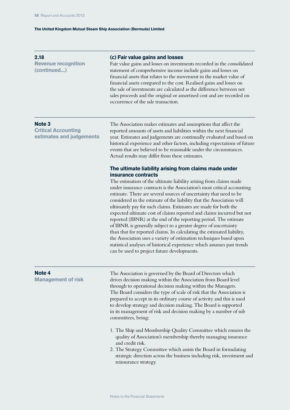| 2.18                       |
|----------------------------|
| <b>Revenue recognition</b> |
| (continued)                |

#### **(c) Fair value gains and losses**

Fair value gains and losses on investments recorded in the consolidated statement of comprehensive income include gains and losses on financial assets that relates to the movement in the market value of financial assets compared to the cost. Realised gains and losses on the sale of investments are calculated as the difference between net sales proceeds and the original or amortised cost and are recorded on occurrence of the sale transaction.

#### **Note 3**

**Critical Accounting estimates and judgements** The Association makes estimates and assumptions that affect the reported amounts of assets and liabilities within the next financial year. Estimates and judgements are continually evaluated and based on historical experience and other factors, including expectations of future events that are believed to be reasonable under the circumstances. Actual results may differ from these estimates.

# **The ultimate liability arising from claims made under insurance contracts**

The estimation of the ultimate liability arising from claims made under insurance contracts is the Association's most critical accounting estimate. There are several sources of uncertainty that need to be considered in the estimate of the liability that the Association will ultimately pay for such claims. Estimates are made for both the expected ultimate cost of claims reported and claims incurred but not reported (IBNR) at the end of the reporting period. The estimate of IBNR is generally subject to a greater degree of uncertainty than that for reported claims. In calculating the estimated liability, the Association uses a variety of estimation techniques based upon statistical analyses of historical experience which assumes past trends can be used to project future developments.

#### **Note 4**

**Management of risk**

The Association is governed by the Board of Directors which drives decision making within the Association from Board level through to operational decision making within the Managers. The Board considers the type of scale of risk that the Association is prepared to accept in its ordinary course of activity and this is used to develop strategy and decision making. The Board is supported in its management of risk and decision making by a number of sub committees, being:

- 1. The Ship and Membership Quality Committee which ensures the quality of Association's membership thereby managing insurance and credit risk.
- 2. The Strategy Committee which assists the Board in formulating strategic direction across the business including risk, investment and reinsurance strategy.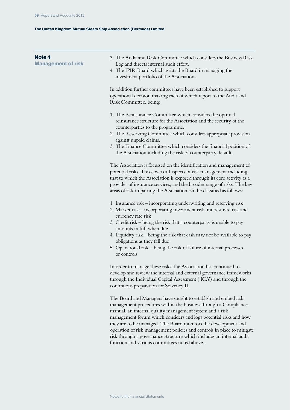| Note <sub>4</sub><br><b>Management of risk</b> | 3. The Audit and Risk Committee which considers the Business Risk<br>Log and directs internal audit effort.<br>4. The IPIR Board which assists the Board in managing the<br>investment portfolio of the Association.                                                                                                                                                                                                                                                                                                                   |
|------------------------------------------------|----------------------------------------------------------------------------------------------------------------------------------------------------------------------------------------------------------------------------------------------------------------------------------------------------------------------------------------------------------------------------------------------------------------------------------------------------------------------------------------------------------------------------------------|
|                                                | In addition further committees have been established to support<br>operational decision making each of which report to the Audit and<br>Risk Committee, being:                                                                                                                                                                                                                                                                                                                                                                         |
|                                                | 1. The Reinsurance Committee which considers the optimal<br>reinsurance structure for the Association and the security of the<br>counterparties to the programme.<br>2. The Reserving Committee which considers appropriate provision<br>against unpaid claims.<br>3. The Finance Committee which considers the financial position of<br>the Association including the risk of counterparty default.                                                                                                                                   |
|                                                | The Association is focussed on the identification and management of<br>potential risks. This covers all aspects of risk management including<br>that to which the Association is exposed through its core activity as a<br>provider of insurance services, and the broader range of risks. The key<br>areas of risk impairing the Association can be classified as follows:                                                                                                                                                            |
|                                                | 1. Insurance risk – incorporating underwriting and reserving risk<br>2. Market risk – incorporating investment risk, interest rate risk and<br>currency rate risk<br>3. Credit risk – being the risk that a counterparty is unable to pay<br>amounts in full when due<br>4. Liquidity risk - being the risk that cash may not be available to pay<br>obligations as they fall due<br>5. Operational risk - being the risk of failure of internal processes<br>or controls                                                              |
|                                                | In order to manage these risks, the Association has continued to<br>develop and review the internal and external governance frameworks<br>through the Individual Capital Assessment ('ICA') and through the<br>continuous preparation for Solvency II.                                                                                                                                                                                                                                                                                 |
|                                                | The Board and Managers have sought to establish and embed risk<br>management procedures within the business through a Compliance<br>manual, an internal quality management system and a risk<br>management forum which considers and logs potential risks and how<br>they are to be managed. The Board monitors the development and<br>operation of risk management policies and controls in place to mitigate<br>risk through a governance structure which includes an internal audit<br>function and various committees noted above. |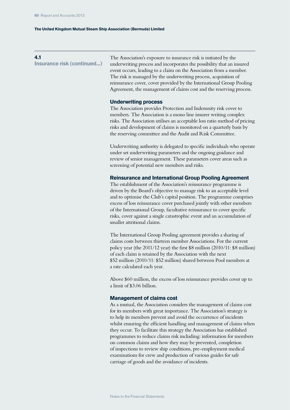## **4.1**

**Insurance risk (continued...)**

The Association's exposure to insurance risk is initiated by the underwriting process and incorporates the possibility that an insured event occurs, leading to a claim on the Association from a member. The risk is managed by the underwriting process, acquisition of reinsurance cover, cover provided by the International Group Pooling Agreement, the management of claims cost and the reserving process.

#### **Underwriting process**

The Association provides Protection and Indemnity risk cover to members. The Association is a mono line insurer writing complex risks. The Association utilises an acceptable loss ratio method of pricing risks and development of claims is monitored on a quarterly basis by the reserving committee and the Audit and Risk Committee.

Underwriting authority is delegated to specific individuals who operate under set underwriting parameters and the ongoing guidance and review of senior management. These parameters cover areas such as screening of potential new members and risks.

### **Reinsurance and International Group Pooling Agreement**

The establishment of the Association's reinsurance programme is driven by the Board's objective to manage risk to an acceptable level and to optimise the Club's capital position. The programme comprises excess of loss reinsurance cover purchased jointly with other members of the International Group, facultative reinsurance to cover specific risks, cover against a single catastrophic event and an accumulation of smaller attritional claims.

The International Group Pooling agreement provides a sharing of claims costs between thirteen member Associations. For the current policy year (the 2011/12 year) the first \$8 million (2010/11: \$8 million) of each claim is retained by the Association with the next \$52 million (2010/11: \$52 million) shared between Pool members at a rate calculated each year.

Above \$60 million, the excess of loss reinsurance provides cover up to a limit of \$3.06 billion.

#### **Management of claims cost**

As a mutual, the Association considers the management of claims cost for its members with great importance. The Association's strategy is to help its members prevent and avoid the occurrence of incidents whilst ensuring the efficient handling and management of claims when they occur. To facilitate this strategy the Association has established programmes to reduce claims risk including: information for members on common claims and how they may be prevented, completion of inspections to review ship conditions, pre-employment medical examinations for crew and production of various guides for safe carriage of goods and the avoidance of incidents.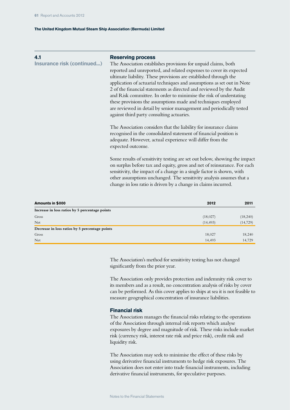## **4.1**

**Insurance risk (continued...)**

# **Reserving process**

The Association establishes provisions for unpaid claims, both reported and unreported, and related expenses to cover its expected ultimate liability. These provisions are established through the application of actuarial techniques and assumptions as set out in Note 2 of the financial statements as directed and reviewed by the Audit and Risk committee. In order to minimise the risk of understating these provisions the assumptions made and techniques employed are reviewed in detail by senior management and periodically tested against third party consulting actuaries.

The Association considers that the liability for insurance claims recognised in the consolidated statement of financial position is adequate. However, actual experience will differ from the expected outcome.

Some results of sensitivity testing are set out below, showing the impact on surplus before tax and equity, gross and net of reinsurance. For each sensitivity, the impact of a change in a single factor is shown, with other assumptions unchanged. The sensitivity analysis assumes that a change in loss ratio is driven by a change in claims incurred.

| Amounts in \$000                               | 2012      | 2011      |
|------------------------------------------------|-----------|-----------|
| Increase in loss ratios by 5 percentage points |           |           |
| Gross                                          | (18,027)  | (18,240)  |
| Net                                            | (14, 493) | (14, 729) |
| Decrease in loss ratios by 5 percentage points |           |           |
| Gross                                          | 18,027    | 18,240    |
| Net                                            | 14,493    | 14,729    |

The Association's method for sensitivity testing has not changed significantly from the prior year.

The Association only provides protection and indemnity risk cover to its members and as a result, no concentration analysis of risks by cover can be performed. As this cover applies to ships at sea it is not feasible to measure geographical concentration of insurance liabilities.

### **Financial risk**

The Association manages the financial risks relating to the operations of the Association through internal risk reports which analyse exposures by degree and magnitude of risk. These risks include market risk (currency risk, interest rate risk and price risk), credit risk and liquidity risk.

The Association may seek to minimise the effect of these risks by using derivative financial instruments to hedge risk exposures. The Association does not enter into trade financial instruments, including derivative financial instruments, for speculative purposes.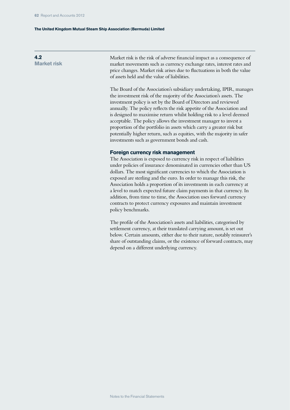**4.2 Market risk**

Market risk is the risk of adverse financial impact as a consequence of market movements such as currency exchange rates, interest rates and price changes. Market risk arises due to fluctuations in both the value of assets held and the value of liabilities.

The Board of the Association's subsidiary undertaking, IPIR, manages the investment risk of the majority of the Association's assets. The investment policy is set by the Board of Directors and reviewed annually. The policy reflects the risk appetite of the Association and is designed to maximise return whilst holding risk to a level deemed acceptable. The policy allows the investment manager to invest a proportion of the portfolio in assets which carry a greater risk but potentially higher return, such as equities, with the majority in safer investments such as government bonds and cash.

#### **Foreign currency risk management**

The Association is exposed to currency risk in respect of liabilities under policies of insurance denominated in currencies other than US dollars. The most significant currencies to which the Association is exposed are sterling and the euro. In order to manage this risk, the Association holds a proportion of its investments in each currency at a level to match expected future claim payments in that currency. In addition, from time to time, the Association uses forward currency contracts to protect currency exposures and maintain investment policy benchmarks.

The profile of the Association's assets and liabilities, categorised by settlement currency, at their translated carrying amount, is set out below. Certain amounts, either due to their nature, notably reinsurer's share of outstanding claims, or the existence of forward contracts, may depend on a different underlying currency.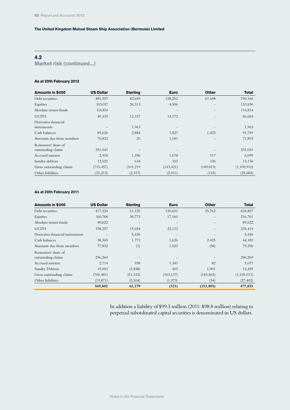# **4.2**

**Market risk (continued...)**

#### **As at 20th February 2012**

| Amounts in \$000         | <b>US Dollar</b> | <b>Sterling</b>   | <b>Euro</b>       | <b>Other</b>             | <b>Total</b> |
|--------------------------|------------------|-------------------|-------------------|--------------------------|--------------|
| Debt securities          | 481,557          | 82,659            | 158,252           | 67,698                   | 790,166      |
| Equities                 | 103,017          | 26,313            | 4,506             | $\overline{\phantom{a}}$ | 133,836      |
| Absolute return funds    | 114,814          | $\qquad \qquad -$ | $\qquad \qquad -$ | $\qquad \qquad -$        | 114,814      |
| <b>UCITS</b>             | 40,335           | 12,157            | 14,172            |                          | 66,664       |
| Derivative financial     |                  |                   |                   |                          |              |
| instruments              |                  | 1,963             |                   |                          | 1,963        |
| Cash balances            | 85,626           | 2,884             | 1,827             | 1,422                    | 91,759       |
| Amounts due from members | 70,832           | 20                | 1,041             |                          | 71,893       |
| Reinsurers' share of     |                  |                   |                   |                          |              |
| outstanding claims       | 331,041          |                   |                   |                          | 331,041      |
| Accrued interest         | 2,918            | 1,186             | 1,678             | 317                      | 6,099        |
| Sundry debtors           | 12,021           | 634               | 355               | 126                      | 13,136       |
| Gross outstanding claims | (715, 457)       | (101, 219)        | (143, 421)        | (149, 813)               | (1,109,910)  |
| Other liabilities        | (21, 213)        | (2,317)           | (2,011)           | (143)                    | (25, 684)    |

#### **As at 20th February 2011**

| Amounts in \$000                 | <b>US Dollar</b>  | <b>Sterling</b>   | <b>Euro</b>       | <b>Other</b>      | <b>Total</b>  |
|----------------------------------|-------------------|-------------------|-------------------|-------------------|---------------|
| Debt securities                  | 417,324           | 61,120            | 120,601           | 25,762            | 624,807       |
| Equities                         | 160,768           | 38,773            | 17,160            |                   | 216,701       |
| Absolute return funds            | 89,622            | $\qquad \qquad -$ | $\qquad \qquad -$ | $\qquad \qquad -$ | 89,622        |
| <b>UCITS</b>                     | 198,257           | 15,024            | 22,133            |                   | 235,414       |
| Derivative financial instruments | $\qquad \qquad -$ | 5,436             | $\qquad \qquad -$ |                   | 5,436         |
| Cash balances                    | 38,365            | 1,773             | 1,626             | 2,425             | 44,189        |
| Amounts due from members         | 77,832            | (1)               | 1,523             | (58)              | 79,296        |
| Reinsurers' share of             |                   |                   |                   |                   |               |
| outstanding claims               | 296,269           |                   |                   |                   | 296,269       |
| Accrued interest                 | 2,714             | 938               | 1,343             | 82                | 5,077         |
| Sundry Debtors                   | 15,003            | (3,848)           | 403               | 1,901             | 13,459        |
| Gross outstanding claims         | (706, 481)        | (51, 532)         | (163, 137)        | (183, 863)        | (1, 105, 013) |
| Other liabilities                | (19, 871)         | (5,504)           | (1,973)           | (54)              | (27, 402)     |
|                                  | 569,802           | 62,179            | (321)             | (153, 805)        | 477,855       |

In addition a liability of \$99.3 million (2011: \$98.8 million) relating to perpetual subordinated capital securities is denominated in US dollars.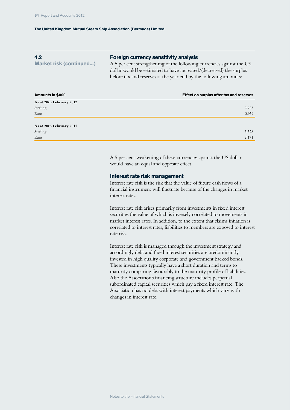# **4.2**

**Market risk (continued...)**

### **Foreign currency sensitivity analysis**

A 5 per cent strengthening of the following currencies against the US dollar would be estimated to have increased/(decreased) the surplus before tax and reserves at the year end by the following amounts:

| Amounts in \$000         | Effect on surplus after tax and reserves |
|--------------------------|------------------------------------------|
| As at 20th February 2012 |                                          |
| Sterling                 | 2,723                                    |
| Euro                     | 3,959                                    |
|                          |                                          |
| As at 20th February 2011 |                                          |
| Sterling                 | 3,528                                    |
| Euro                     | 2,171                                    |

A 5 per cent weakening of these currencies against the US dollar would have an equal and opposite effect.

#### **Interest rate risk management**

Interest rate risk is the risk that the value of future cash flows of a financial instrument will fluctuate because of the changes in market interest rates.

Interest rate risk arises primarily from investments in fixed interest securities the value of which is inversely correlated to movements in market interest rates. In addition, to the extent that claims inflation is correlated to interest rates, liabilities to members are exposed to interest rate risk.

Interest rate risk is managed through the investment strategy and accordingly debt and fixed interest securities are predominantly invested in high quality corporate and government backed bonds. These investments typically have a short duration and terms to maturity comparing favourably to the maturity profile of liabilities. Also the Association's financing structure includes perpetual subordinated capital securities which pay a fixed interest rate. The Association has no debt with interest payments which vary with changes in interest rate.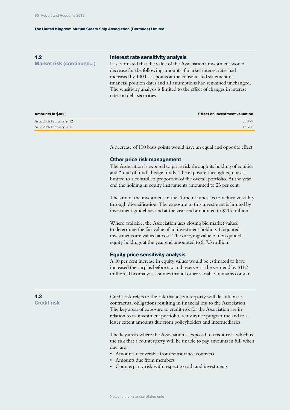| 4.2<br><b>Market risk (continued)</b> | Interest rate sensitivity analysis<br>It is estimated that the value of the Association's investment would<br>decrease for the following amounts if market interest rates had<br>increased by 100 basis points at the consolidated statement of<br>financial position dates and all assumptions had remained unchanged.<br>The sensitivity analysis is limited to the effect of changes in interest<br>rates on debt securities. |
|---------------------------------------|----------------------------------------------------------------------------------------------------------------------------------------------------------------------------------------------------------------------------------------------------------------------------------------------------------------------------------------------------------------------------------------------------------------------------------|
| Amounts in \$000                      | <b>Effect on investment valuation</b>                                                                                                                                                                                                                                                                                                                                                                                            |
| As at 20th February 2012              | 25,479                                                                                                                                                                                                                                                                                                                                                                                                                           |

A decrease of 100 basis points would have an equal and opposite effect.

#### **Other price risk management**

As at 20th February 2011 15,788

The Association is exposed to price risk through its holding of equities and "fund of fund" hedge funds. The exposure through equities is limited to a controlled proportion of the overall portfolio. At the year end the holding in equity instruments amounted to 23 per cent.

The aim of the investment in the "fund of funds" is to reduce volatility through diversification. The exposure to this investment is limited by investment guidelines and at the year end amounted to \$115 million.

Where available, the Association uses closing bid market values to determine the fair value of an investment holding. Unquoted investments are valued at cost. The carrying value of non quoted equity holdings at the year end amounted to \$17.3 million.

#### **Equity price sensitivity analysis**

A 10 per cent increase in equity values would be estimated to have increased the surplus before tax and reserves at the year end by \$11.7 million. This analysis assumes that all other variables remains constant.

**4.3 Credit risk**

Credit risk refers to the risk that a counterparty will default on its contractual obligations resulting in financial loss to the Association. The key areas of exposure to credit risk for the Association are in relation to its investment portfolio, reinsurance programme and to a lesser extent amounts due from policyholders and intermediaries

The key areas where the Association is exposed to credit risk, which is the risk that a counterparty will be unable to pay amounts in full when due, are:

- Amounts recoverable from reinsurance contracts
- Amounts due from members
- Counterparty risk with respect to cash and investments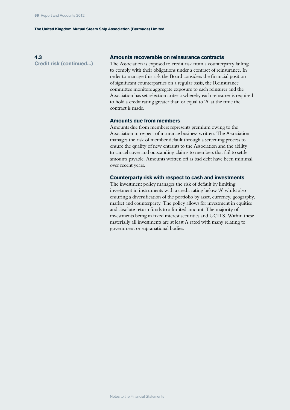## **4.3**

**Credit risk (continued...)**

# **Amounts recoverable on reinsurance contracts**

The Association is exposed to credit risk from a counterparty failing to comply with their obligations under a contract of reinsurance. In order to manage this risk the Board considers the financial position of significant counterparties on a regular basis, the Reinsurance committee monitors aggregate exposure to each reinsurer and the Association has set selection criteria whereby each reinsurer is required to hold a credit rating greater than or equal to 'A' at the time the contract is made.

### **Amounts due from members**

Amounts due from members represents premium owing to the Association in respect of insurance business written. The Association manages the risk of member default through a screening process to ensure the quality of new entrants to the Association and the ability to cancel cover and outstanding claims to members that fail to settle amounts payable. Amounts written off as bad debt have been minimal over recent years.

## **Counterparty risk with respect to cash and investments**

The investment policy manages the risk of default by limiting investment in instruments with a credit rating below 'A' whilst also ensuring a diversification of the portfolio by asset, currency, geography, market and counterparty. The policy allows for investment in equities and absolute return funds to a limited amount. The majority of investments being in fixed interest securities and UCITS. Within these materially all investments are at least A rated with many relating to government or supranational bodies.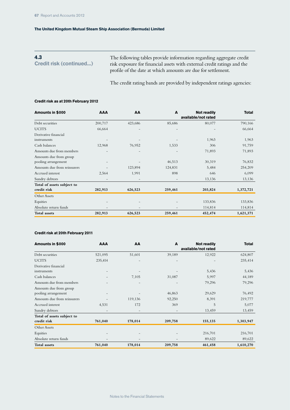The following tables provide information regarding aggregate credit risk exposure for financial assets with external credit ratings and the profile of the date at which amounts are due for settlement. **4.3 Credit risk (continued...)**

The credit rating bands are provided by independent ratings agencies:

#### **Credit risk as at 20th February 2012**

| Amounts in \$000            | <b>AAA</b> | AA                | A                        | <b>Not readily</b>  | <b>Total</b> |
|-----------------------------|------------|-------------------|--------------------------|---------------------|--------------|
|                             |            |                   |                          | available/not rated |              |
| Debt securities             | 200,717    | 423,686           | 85,686                   | 80,077              | 790,166      |
| <b>UCITS</b>                | 66,664     | $\qquad \qquad -$ | $\overline{\phantom{0}}$ |                     | 66,664       |
| Derivative financial        |            |                   |                          |                     |              |
| instruments                 |            |                   |                          | 1,963               | 1,963        |
| Cash balances               | 12,968     | 76,952            | 1,533                    | 306                 | 91,759       |
| Amounts due from members    |            |                   |                          | 71,893              | 71,893       |
| Amounts due from group      |            |                   |                          |                     |              |
| pooling arrangement         |            |                   | 46,513                   | 30,319              | 76,832       |
| Amounts due from reinsurers |            | 123,894           | 124,831                  | 5,484               | 254,209      |
| Accrued interest            | 2,564      | 1,991             | 898                      | 646                 | 6,099        |
| Sundry debtors              |            | -                 |                          | 13,136              | 13,136       |
| Total of assets subject to  |            |                   |                          |                     |              |
| credit risk                 | 282,913    | 626,523           | 259,461                  | 203,824             | 1,372,721    |
| Other Assets                |            |                   |                          |                     |              |
| Equities                    |            |                   |                          | 133,836             | 133,836      |
| Absolute return funds       |            | -                 |                          | 114,814             | 114,814      |
| <b>Total assets</b>         | 282,913    | 626,523           | 259,461                  | 452,474             | 1,621,371    |

#### **Credit risk at 20th February 2011**

| Amounts in \$000            | <b>AAA</b>               | AA                | A                        | <b>Not readily</b>  | <b>Total</b> |
|-----------------------------|--------------------------|-------------------|--------------------------|---------------------|--------------|
|                             |                          |                   |                          | available/not rated |              |
| Debt securities             | 521,095                  | 51,601            | 39,189                   | 12,922              | 624,807      |
| <b>UCITS</b>                | 235,414                  |                   |                          |                     | 235,414      |
| Derivative financial        |                          |                   |                          |                     |              |
| instruments                 |                          |                   |                          | 5,436               | 5,436        |
| Cash balances               |                          | 7,105             | 31,087                   | 5,997               | 44,189       |
| Amounts due from members    |                          |                   |                          | 79,296              | 79,296       |
| Amounts due from group      |                          |                   |                          |                     |              |
| pooling arrangement         |                          |                   | 46,863                   | 29,629              | 76,492       |
| Amounts due from reinsurers |                          | 119,136           | 92,250                   | 8,391               | 219,777      |
| Accrued interest            | 4,531                    | 172               | 369                      | 5                   | 5,077        |
| Sundry debtors              |                          | -                 |                          | 13,459              | 13,459       |
| Total of assets subject to  |                          |                   |                          |                     |              |
| credit risk                 | 761,040                  | 178,014           | 209,758                  | 155,135             | 1,303,947    |
| Other Assets                |                          |                   |                          |                     |              |
| Equities                    |                          |                   |                          | 216,701             | 216,701      |
| Absolute return funds       | $\overline{\phantom{a}}$ | $\qquad \qquad -$ | $\overline{\phantom{a}}$ | 89,622              | 89,622       |
| Total assets                | 761,040                  | 178,014           | 209,758                  | 461,458             | 1,610,270    |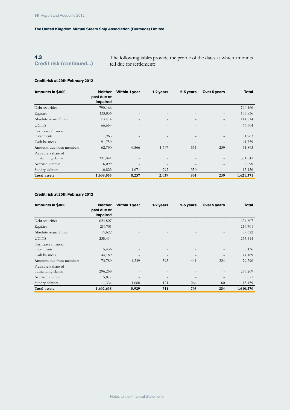# **4.3**

**Credit risk (continued...)**

The following tables provide the profile of the dates at which amounts fell due for settlement:

# **Credit risk at 20th February 2012**

| Amounts in \$000         | <b>Neither</b><br>past due or<br>impaired | Within 1 year            | 1-2 years                | 2-5 years                | Over 5 years             | <b>Total</b> |
|--------------------------|-------------------------------------------|--------------------------|--------------------------|--------------------------|--------------------------|--------------|
| Debt securities          | 790,166                                   | $\qquad \qquad -$        | $\overline{\phantom{0}}$ |                          |                          | 790,166      |
| Equities                 | 133,836                                   | $\qquad \qquad -$        | $\overline{\phantom{0}}$ |                          | $\overline{\phantom{a}}$ | 133,836      |
| Absolute return funds    | 114,814                                   | $\qquad \qquad -$        | $\overline{\phantom{0}}$ | $\overline{\phantom{a}}$ | $\qquad \qquad -$        | 114,814      |
| <b>UCITS</b>             | 66,664                                    |                          |                          |                          |                          | 66,664       |
| Derivative financial     |                                           |                          |                          |                          |                          |              |
| instruments              | 1,963                                     | $\qquad \qquad -$        |                          |                          |                          | 1,963        |
| Cash balances            | 91,759                                    | ۳                        |                          |                          | $\qquad \qquad -$        | 91,759       |
| Amounts due from members | 62,790                                    | 6,566                    | 1,747                    | 551                      | 239                      | 71,893       |
| Reinsurers share of      |                                           |                          |                          |                          |                          |              |
| outstanding claims       | 331,041                                   | $\overline{\phantom{0}}$ | $\overline{\phantom{0}}$ | ٠                        | $\overline{\phantom{a}}$ | 331,041      |
| Accrued interest         | 6,099                                     | $\qquad \qquad -$        |                          |                          |                          | 6,099        |
| Sundry debtors           | 10,823                                    | 1,671                    | 292                      | 350                      | $\qquad \qquad -$        | 13,136       |
| Total assets             | 1,609,955                                 | 8,237                    | 2,039                    | 901                      | 239                      | 1,621,371    |

## **Credit risk at 20th February 2012**

| Amounts in \$000         | <b>Neither</b><br>past due or<br>impaired | Within 1 year            | 1-2 years                | 2-5 years                | Over 5 years      | <b>Total</b> |
|--------------------------|-------------------------------------------|--------------------------|--------------------------|--------------------------|-------------------|--------------|
| Debt securities          | 624,807                                   | $\overline{\phantom{a}}$ | -                        | $\qquad \qquad -$        |                   | 624,807      |
| Equities                 | 216,701                                   | $\qquad \qquad -$        | $\overline{\phantom{0}}$ | $\overline{\phantom{a}}$ | $\qquad \qquad -$ | 216,701      |
| Absolute return funds    | 89,622                                    | $\qquad \qquad -$        | $\overline{\phantom{0}}$ | $\overline{\phantom{m}}$ | $\qquad \qquad -$ | 89,622       |
| <b>UCITS</b>             | 235,414                                   | $\qquad \qquad -$        | $\overline{\phantom{0}}$ | $\overline{\phantom{a}}$ | $\qquad \qquad -$ | 235,414      |
| Derivative financial     |                                           |                          |                          |                          |                   |              |
| instruments              | 5,436                                     | $\qquad \qquad -$        | $\overline{\phantom{0}}$ | $\overline{\phantom{m}}$ | $\qquad \qquad -$ | 5,436        |
| Cash balances            | 44,189                                    |                          |                          | $\overline{\phantom{0}}$ |                   | 44,189       |
| Amounts due from members | 73,789                                    | 4,249                    | 593                      | 441                      | 224               | 79,296       |
| Reinsurers share of      |                                           |                          |                          |                          |                   |              |
| outstanding claims       | 296,269                                   | $\overline{\phantom{0}}$ | -                        | $\qquad \qquad -$        | $\qquad \qquad -$ | 296,269      |
| Accrued interest         | 5,077                                     | $\qquad \qquad -$        | $\qquad \qquad -$        | $\overline{\phantom{a}}$ | $\qquad \qquad -$ | 5,077        |
| Sundry debtors           | 11,334                                    | 1,680                    | 121                      | 264                      | 60                | 13,459       |
| <b>Total</b> assets      | 1,602,638                                 | 5,929                    | 714                      | 705                      | 284               | 1,610,270    |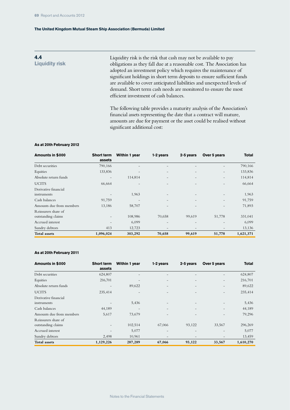# **4.4 Liquidity risk**

Liquidity risk is the risk that cash may not be available to pay obligations as they fall due at a reasonable cost. The Association has adopted an investment policy which requires the maintenance of significant holdings in short term deposits to ensure sufficient funds are available to cover anticipated liabilities and unexpected levels of demand. Short term cash needs are monitored to ensure the most efficient investment of cash balances.

The following table provides a maturity analysis of the Association's financial assets representing the date that a contract will mature, amounts are due for payment or the asset could be realised without significant additional cost:

#### **As at 20th February 2012**

| Amounts in \$000                          | <b>Short term</b><br>assets | Within 1 year            | 1-2 years                | 2-5 years                | Over 5 years      | <b>Total</b> |
|-------------------------------------------|-----------------------------|--------------------------|--------------------------|--------------------------|-------------------|--------------|
| Debt securities                           | 790,166                     |                          |                          |                          |                   | 790,166      |
| Equities                                  | 133,836                     | $\overline{\phantom{0}}$ | $\overline{\phantom{0}}$ | $\overline{\phantom{0}}$ | $\qquad \qquad -$ | 133,836      |
| Absolute return funds                     |                             | 114,814                  | -                        |                          |                   | 114,814      |
| <b>UCITS</b>                              | 66,664                      |                          |                          |                          |                   | 66,664       |
| Derivative financial<br>instruments       |                             | 1,963                    |                          |                          |                   | 1,963        |
| Cash balances                             | 91,759                      | $\qquad \qquad -$        | $-$                      | ۰                        |                   | 91,759       |
| Amounts due from members                  | 13,186                      | 58,707                   |                          |                          |                   | 71,893       |
| Reinsurers share of<br>outstanding claims |                             | 108,986                  | 70,658                   | 99,619                   | 51,778            | 331,041      |
| Accrued interest                          |                             | 6,099                    | $\overline{\phantom{0}}$ |                          |                   | 6,099        |
| Sundry debtors                            | 413                         | 12,723                   | $\qquad \qquad -$        | $\overline{\phantom{0}}$ |                   | 13,136       |
| <b>Total assets</b>                       | 1,096,024                   | 303,292                  | 70,658                   | 99,619                   | 51,778            | 1,621,371    |

#### **As at 20th February 2011**

| Amounts in \$000                          | <b>Short term</b><br>assets | <b>Within 1 year</b>     | 1-2 years                | 2-5 years | Over 5 years             | <b>Total</b> |
|-------------------------------------------|-----------------------------|--------------------------|--------------------------|-----------|--------------------------|--------------|
| Debt securities                           | 624,807                     |                          |                          |           |                          | 624,807      |
| Equities                                  | 216,701                     | $\overline{\phantom{0}}$ |                          |           | $\qquad \qquad -$        | 216,701      |
| Absolute return funds                     |                             | 89,622                   |                          |           |                          | 89,622       |
| <b>UCITS</b>                              | 235,414                     |                          |                          |           | $\overline{\phantom{a}}$ | 235,414      |
| Derivative financial<br>instruments       |                             | 5,436                    |                          |           |                          | 5,436        |
| Cash balances                             | 44,189                      | -                        |                          |           | $\overline{\phantom{a}}$ | 44,189       |
| Amounts due from members                  | 5,617                       | 73,679                   |                          |           |                          | 79,296       |
| Reinsurers share of<br>outstanding claims | $\overline{\phantom{0}}$    | 102,514                  | 67,066                   | 93,122    | 33,567                   | 296,269      |
| Accrued interest                          |                             | 5,077                    |                          |           |                          | 5,077        |
| Sundry debtors                            | 2,498                       | 10,961                   | $\overline{\phantom{a}}$ |           |                          | 13,459       |
| <b>Total assets</b>                       | 1,129,226                   | 287,289                  | 67,066                   | 93,122    | 33,567                   | 1,610,270    |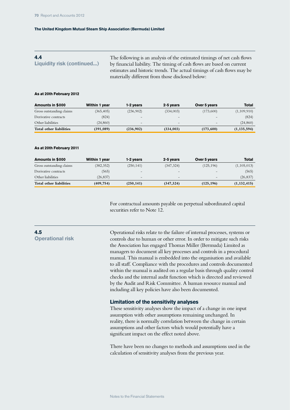#### The following is an analysis of the estimated timings of net cash flows by financial liability. The timing of cash flows are based on current estimates and historic trends. The actual timings of cash flows may be materially different from those disclosed below: **4.4 Liquidity risk (continued...)**

#### **As at 20th February 2012**

| Amounts in \$000         | Within 1 year | 1-2 years                | 2-5 years                | Over 5 years    | Total         |
|--------------------------|---------------|--------------------------|--------------------------|-----------------|---------------|
| Gross outstanding claims | (365, 405)    | (236,902)                | (334,003)                | (173,600)       | (1,109,910)   |
| Derivative contracts     | (824)         | $\overline{\phantom{0}}$ | $\overline{\phantom{a}}$ |                 | (824)         |
| Other liabilities        | (24, 860)     | $-$                      | $\overline{\phantom{0}}$ | $\qquad \qquad$ | (24, 860)     |
| Total other liabilities  | (391,089)     | (236,902)                | (334, 003)               | (173,600)       | (1, 135, 594) |

#### **As at 20th February 2011**

| Amounts in \$000         | Within 1 year | 1-2 years                | 2-5 years  | Over 5 years    | <b>Total</b>  |
|--------------------------|---------------|--------------------------|------------|-----------------|---------------|
| Gross outstanding claims | (382, 352)    | (250, 141)               | (347, 324) | (125, 196)      | (1, 105, 013) |
| Derivative contracts     | (565)         | $\qquad \qquad =$        |            |                 | (565)         |
| Other liabilities        | (26, 837)     | $\overline{\phantom{0}}$ | $-$        | $\qquad \qquad$ | (26, 837)     |
| Total other liabilities  | (409, 754)    | (250, 141)               | (347, 324) | (125, 196)      | (1, 132, 415) |

For contractual amounts payable on perpetual subordinated capital securities refer to Note 12.

## **4.5 Operational risk**

Operational risks relate to the failure of internal processes, systems or controls due to human or other error. In order to mitigate such risks the Association has engaged Thomas Miller (Bermuda) Limited as managers to document all key processes and controls in a procedural manual. This manual is embedded into the organisation and available to all staff. Compliance with the procedures and controls documented within the manual is audited on a regular basis through quality control checks and the internal audit function which is directed and reviewed by the Audit and Risk Committee. A human resource manual and including all key policies have also been documented.

#### **Limitation of the sensitivity analyses**

These sensitivity analyses show the impact of a change in one input assumption with other assumptions remaining unchanged. In reality, there is normally correlation between the change in certain assumptions and other factors which would potentially have a significant impact on the effect noted above.

There have been no changes to methods and assumptions used in the calculation of sensitivity analyses from the previous year.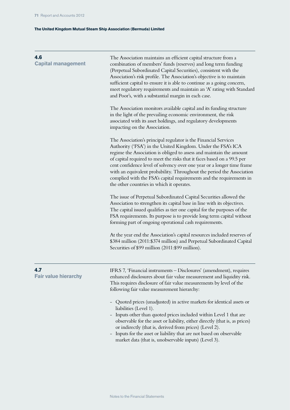| 4.6<br><b>Capital management</b>   | The Association maintains an efficient capital structure from a<br>combination of members' funds (reserves) and long term funding<br>(Perpetual Subordinated Capital Securities), consistent with the<br>Association's risk profile. The Association's objective is to maintain<br>sufficient capital to ensure it is able to continue as a going concern,<br>meet regulatory requirements and maintain an 'A' rating with Standard<br>and Poor's, with a substantial margin in each case.                                                                |  |  |  |
|------------------------------------|-----------------------------------------------------------------------------------------------------------------------------------------------------------------------------------------------------------------------------------------------------------------------------------------------------------------------------------------------------------------------------------------------------------------------------------------------------------------------------------------------------------------------------------------------------------|--|--|--|
|                                    | The Association monitors available capital and its funding structure<br>in the light of the prevailing economic environment, the risk<br>associated with its asset holdings, and regulatory developments<br>impacting on the Association.                                                                                                                                                                                                                                                                                                                 |  |  |  |
|                                    | The Association's principal regulator is the Financial Services<br>Authority ('FSA') in the United Kingdom. Under the FSA's ICA<br>regime the Association is obliged to assess and maintain the amount<br>of capital required to meet the risks that it faces based on a 99.5 per<br>cent confidence level of solvency over one year or a longer time frame<br>with an equivalent probability. Throughout the period the Association<br>complied with the FSA's capital requirements and the requirements in<br>the other countries in which it operates. |  |  |  |
|                                    | The issue of Perpetual Subordinated Capital Securities allowed the<br>Association to strengthen its capital base in line with its objectives.<br>The capital issued qualifies as tier one capital for the purposes of the<br>FSA requirements. Its purpose is to provide long term capital without<br>forming part of ongoing operational cash requirements.                                                                                                                                                                                              |  |  |  |
|                                    | At the year end the Association's capital resources included reserves of<br>\$384 million (2011: \$374 million) and Perpetual Subordinated Capital<br>Securities of \$99 million (2011:\$99 million).                                                                                                                                                                                                                                                                                                                                                     |  |  |  |
| 4.7<br><b>Fair value hierarchy</b> | IFRS 7, 'Financial instruments - Disclosures' (amendment), requires<br>enhanced disclosures about fair value measurement and liquidity risk.<br>This requires disclosure of fair value measurements by level of the<br>following fair value measurement hierarchy:                                                                                                                                                                                                                                                                                        |  |  |  |
|                                    | Quoted prices (unadjusted) in active markets for identical assets or<br>liabilities (Level 1).<br>- Inputs other than quoted prices included within Level 1 that are<br>observable for the asset or liability, either directly (that is, as prices)<br>or indirectly (that is, derived from prices) (Level 2).<br>- Inputs for the asset or liability that are not based on observable<br>market data (that is, unobservable inputs) (Level 3).                                                                                                           |  |  |  |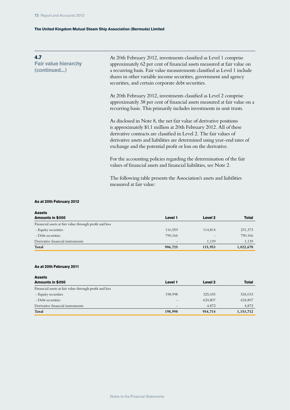| 4.7<br><b>Fair value hierarchy</b><br>(continued) | At 20th February 2012, investments classified as Level 1 comprise<br>approximately 62 per cent of financial assets measured at fair value on<br>a recurring basis. Fair value measurements classified as Level 1 include<br>shares in other variable income securities, government and agency<br>securities, and certain corporate debt securities.        |
|---------------------------------------------------|------------------------------------------------------------------------------------------------------------------------------------------------------------------------------------------------------------------------------------------------------------------------------------------------------------------------------------------------------------|
|                                                   | At 20th February 2012, investments classified as Level 2 comprise<br>approximately 38 per cent of financial assets measured at fair value on a<br>recurring basis. This primarily includes investments in unit trusts.                                                                                                                                     |
|                                                   | As disclosed in Note 8, the net fair value of derivative positions<br>is approximately \$1.1 million at 20th February 2012. All of these<br>derivative contracts are classified in Level 2. The fair values of<br>derivative assets and liabilities are determined using year-end rates of<br>exchange and the potential profit or loss on the derivative. |
|                                                   | For the accounting policies regarding the determination of the fair<br>values of financial assets and financial liabilities, see Note 2.                                                                                                                                                                                                                   |
|                                                   | The following table presents the Association's assets and liabilities<br>measured at fair value:                                                                                                                                                                                                                                                           |

# **As at 20th February 2012**

| <b>Assets</b>                                          |                          |         |              |
|--------------------------------------------------------|--------------------------|---------|--------------|
| Amounts in \$000                                       | Level 1                  | Level 2 | <b>Total</b> |
| Financial assets at fair value through profit and loss |                          |         |              |
| - Equity securities                                    | 116,559                  | 114,814 | 231,373      |
| - Debt securities                                      | 790,166                  |         | 790,166      |
| Derivative financial instruments                       | $\overline{\phantom{0}}$ | 1.139   | 1,139        |
| Total                                                  | 906,725                  | 115,953 | 1,022,678    |

#### **As at 20th February 2011**

| <b>Assets</b>                                          |                   |         |              |
|--------------------------------------------------------|-------------------|---------|--------------|
| Amounts in \$000                                       | Level 1           | Level 2 | <b>Total</b> |
| Financial assets at fair value through profit and loss |                   |         |              |
| - Equity securities                                    | 198,998           | 325,035 | 524,033      |
| - Debt securities                                      | $\qquad \qquad -$ | 624,807 | 624,807      |
| Derivative financial instruments                       |                   | 4,872   | 4,872        |
| Total                                                  | 198,998           | 954,714 | 1,153,712    |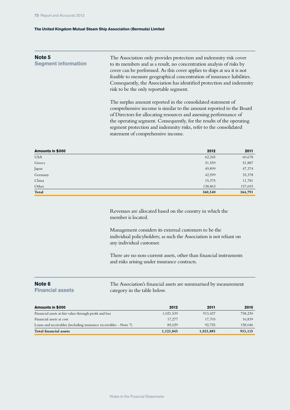| Note 5<br><b>Segment information</b> | The Association only provides protection and indemnity risk cover<br>to its members and as a result, no concentration analysis of risks by<br>cover can be performed. As this cover applies to ships at sea it is not<br>feasible to measure geographical concentration of insurance liabilities.<br>Consequently, the Association has identified protection and indemnity<br>risk to be the only reportable segment. |
|--------------------------------------|-----------------------------------------------------------------------------------------------------------------------------------------------------------------------------------------------------------------------------------------------------------------------------------------------------------------------------------------------------------------------------------------------------------------------|
|                                      | The surplus amount reported in the consolidated statement of<br>comprehensive income is similar to the amount reported to the Board<br>of Directors for allocating resources and assessing performance of<br>the operating segment. Consequently, for the results of the operating<br>segment protection and indemnity risks, refer to the consolidated                                                               |

| Amounts in \$000 | 2012    | 2011    |
|------------------|---------|---------|
| <b>USA</b>       | 62,245  | 60,678  |
| Greece           | 51,559  | 51,887  |
| Japan            | 49,899  | 47,374  |
| Germany          | 42,599  | 35,378  |
| China            | 15,375  | 11,781  |
| Other            | 138,863 | 157,693 |
| Total            | 360,540 | 364,791 |

statement of comprehensive income.

Revenues are allocated based on the country in which the member is located.

Management considers its external customers to be the individual policyholders; as such the Association is not reliant on any individual customer.

There are no non-current assets, other than financial instruments and risks arising under insurance contracts.

#### **Note 6**

**Financial assets**

The Association's financial assets are summarised by measurement category in the table below.

| Amounts in \$000                                                 | 2012      | 2011      | 2010    |
|------------------------------------------------------------------|-----------|-----------|---------|
| Financial assets at fair value through profit and loss           | 1,021,539 | 913.427   | 758,230 |
| Financial assets at cost                                         | 17,277    | 17.703    | 16,839  |
| Loans and receivables (including insurance receivables - Note 7) | 85,029    | 92.755    | 158,046 |
| <b>Total financial assets</b>                                    | 1,123,845 | 1,023,885 | 933,115 |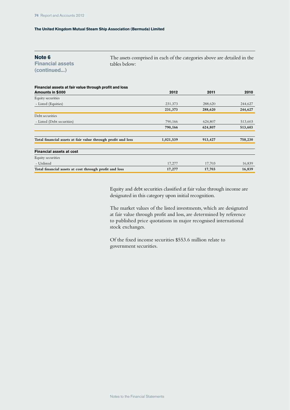| Note 6 |  |
|--------|--|
|--------|--|

**Financial assets (continued...)**

The assets comprised in each of the categories above are detailed in the tables below:

| Financial assets at fair value through profit and loss       |           |         |         |
|--------------------------------------------------------------|-----------|---------|---------|
| Amounts in \$000                                             | 2012      | 2011    | 2010    |
| Equity securities                                            |           |         |         |
| - Listed (Equities)                                          | 231,373   | 288,620 | 244,627 |
|                                                              | 231,373   | 288,620 | 244,627 |
| Debt securities                                              |           |         |         |
| - Listed (Debt securities)                                   | 790,166   | 624,807 | 513,603 |
|                                                              | 790,166   | 624,807 | 513,603 |
|                                                              |           |         |         |
| Total financial assets at fair value through profit and loss | 1,021,539 | 913,427 | 758,230 |
|                                                              |           |         |         |
| <b>Financial assets at cost</b>                              |           |         |         |
| Equity securities                                            |           |         |         |
| - Unlisted                                                   | 17,277    | 17,703  | 16,839  |
| Total financial assets at cost through profit and loss       | 17,277    | 17,703  | 16,839  |

Equity and debt securities classified at fair value through income are designated in this category upon initial recognition.

The market values of the listed investments, which are designated at fair value through profit and loss, are determined by reference to published price quotations in major recognised international stock exchanges.

Of the fixed income securities \$553.6 million relate to government securities.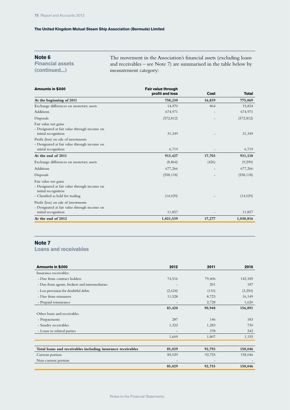# **Note 6**

**Financial assets (continued...)**

The movement in the Association's financial assets (excluding loans and receivables – see Note 7) are summarised in the table below by measurement category:

| Amounts in \$000                                                                                                                | Fair value through |        |              |
|---------------------------------------------------------------------------------------------------------------------------------|--------------------|--------|--------------|
|                                                                                                                                 | profit and loss    | Cost   | <b>Total</b> |
| At the beginning of 2011                                                                                                        | 758,230            | 16,839 | 775,069      |
| Exchange differences on monetary assets                                                                                         | 14,970             | 864    | 15,834       |
| Additions                                                                                                                       | 674,971            |        | 674,971      |
| Disposals                                                                                                                       | (572, 812)         |        | (572, 812)   |
| Fair value net gains<br>- Designated at fair value through income on<br>initial recognition                                     | 31,349             |        | 31,349       |
| Profit (loss) on sale of investments<br>- Designated at fair value through income on<br>initial recognition                     | 6,719              |        | 6,719        |
| At the end of 2011                                                                                                              | 913,427            | 17,703 | 931,130      |
| Exchange differences on monetary assets                                                                                         | (8, 864)           | (426)  | (9,290)      |
| Additions                                                                                                                       | 677,266            |        | 677,266      |
| Disposals                                                                                                                       | (558, 118)         |        | (558, 118)   |
| Fair value net gains<br>- Designated at fair value through income on<br>initial recognition<br>- Classified as held for trading | (14, 029)          |        | (14, 029)    |
| Profit (loss) on sale of investments                                                                                            |                    |        |              |
| - Designated at fair value through income on<br>initial recognition                                                             | 11,857             |        | 11,857       |
| At the end of 2012                                                                                                              | 1,021,539          | 17,277 | 1,038,816    |

# **Note 7**

# **Loans and receivables**

| Amounts in \$000                                            | 2012                     | 2011                     | 2010    |
|-------------------------------------------------------------|--------------------------|--------------------------|---------|
| Insurance receivables:                                      |                          |                          |         |
| - Due from contract holders                                 | 74,516                   | 79,406                   | 142,185 |
| - Due from agents, brokers and intermediaries               |                          | 201                      | 187     |
| - Less provision for doubtful debts                         | (2,624)                  | (110)                    | (3,250) |
| - Due from reinsurers                                       | 11,528                   | 8,723                    | 16,149  |
| - Prepaid reinsurance                                       | $\qquad \qquad -$        | 2,728                    | 1,620   |
|                                                             | 83,420                   | 90,948                   | 156,891 |
| Other loans and receivables                                 |                          |                          |         |
| - Prepayments                                               | 287                      | 146                      | 183     |
| - Sundry receivables                                        | 1,322                    | 1,283                    | 730     |
| - Loans to related parties                                  |                          | 378                      | 242     |
|                                                             | 1,609                    | 1,807                    | 1,155   |
|                                                             |                          |                          |         |
| Total loans and receivables including insurance receivables | 85,029                   | 92,755                   | 158,046 |
| Current portion                                             | 85,029                   | 92,755                   | 158,046 |
| Non-current portion                                         | $\overline{\phantom{a}}$ | $\overline{\phantom{a}}$ |         |
|                                                             | 85,029                   | 92,755                   | 158,046 |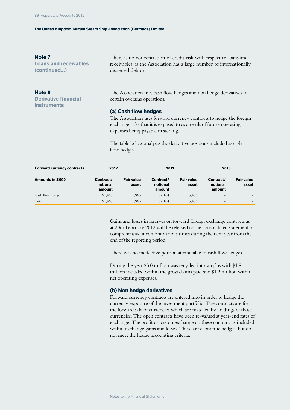| Note <sub>7</sub><br><b>Loans and receivables</b><br>(continued) |                                 | There is no concentration of credit risk with respect to loans and<br>receivables, as the Association has a large number of internationally<br>dispersed debtors.                                           |                                                                    |                            |                                 |                            |  |
|------------------------------------------------------------------|---------------------------------|-------------------------------------------------------------------------------------------------------------------------------------------------------------------------------------------------------------|--------------------------------------------------------------------|----------------------------|---------------------------------|----------------------------|--|
| Note 8<br><b>Derivative financial</b><br><b>instruments</b>      |                                 | certain overseas operations.                                                                                                                                                                                | The Association uses cash flow hedges and non hedge derivatives in |                            |                                 |                            |  |
|                                                                  |                                 | (a) Cash flow hedges<br>The Association uses forward currency contracts to hedge the foreign<br>exchange risks that it is exposed to as a result of future operating<br>expenses being payable in sterling. |                                                                    |                            |                                 |                            |  |
|                                                                  |                                 | flow hedges:                                                                                                                                                                                                | The table below analyses the derivative positions included as cash |                            |                                 |                            |  |
| <b>Forward currency contracts</b>                                | 2012<br>2011                    |                                                                                                                                                                                                             |                                                                    |                            | 2010                            |                            |  |
| Amounts in \$000                                                 | Contract/<br>notional<br>amount | <b>Fair value</b><br>asset                                                                                                                                                                                  | Contract/<br>notional<br>amount                                    | <b>Fair value</b><br>asset | Contract/<br>notional<br>amount | <b>Fair value</b><br>asset |  |
| Cash flow hedge                                                  | 61,463                          | 1,963                                                                                                                                                                                                       | 67,164                                                             | 5,436                      |                                 |                            |  |
| Total                                                            | 61,463                          | 1,963                                                                                                                                                                                                       | 67,164                                                             | 5,436                      |                                 |                            |  |

Gains and losses in reserves on forward foreign exchange contracts as at 20th February 2012 will be released to the consolidated statement of comprehensive income at various times during the next year from the end of the reporting period.

There was no ineffective portion attributable to cash flow hedges.

During the year \$3.0 million was recycled into surplus with \$1.8 million included within the gross claims paid and \$1.2 million within net operating expenses.

# **(b) Non hedge derivatives**

Forward currency contracts are entered into in order to hedge the currency exposure of the investment portfolio. The contracts are for the forward sale of currencies which are matched by holdings of those currencies. The open contracts have been re-valued at year-end rates of exchange. The profit or loss on exchange on these contracts is included within exchange gains and losses. These are economic hedges, but do not meet the hedge accounting criteria.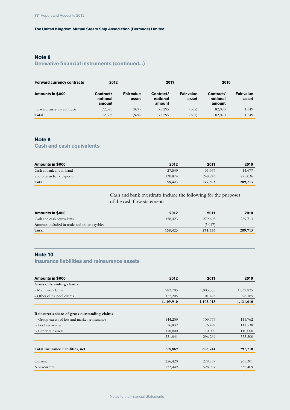# **Note 8**

# **Derivative financial instruments (continued...)**

| <b>Forward currency contracts</b> | 2012                            |                            | 2011                            |                            | 2010                            |                            |
|-----------------------------------|---------------------------------|----------------------------|---------------------------------|----------------------------|---------------------------------|----------------------------|
| Amounts in \$000                  | Contract/<br>notional<br>amount | <b>Fair value</b><br>asset | Contract/<br>notional<br>amount | <b>Fair value</b><br>asset | Contract/<br>notional<br>amount | <b>Fair value</b><br>asset |
| Forward currency contracts        | 72.395                          | (824)                      | 75.295                          | (565)                      | 82,070                          | 1,649                      |
| Total                             | 72.395                          | (824)                      | 75.295                          | (565)                      | 82,070                          | 1,649                      |

# **Note 9**

# **Cash and cash equivalents**

| Amounts in \$000         | 2012    | 2011    | 2010    |
|--------------------------|---------|---------|---------|
| Cash at bank and in hand | 27.549  | 31.357  | 14.677  |
| Short-term bank deposits | 130,874 | 248,246 | 275,036 |
| Total                    | 158,423 | 279,603 | 289,713 |

Cash and bank overdrafts include the following for the purposes of the cash flow statement:

| Amounts in \$000                            | 2012                     | 2011    | 2010    |
|---------------------------------------------|--------------------------|---------|---------|
| Cash and cash equivalents                   | 158.423                  | 279.603 | 289.713 |
| Amount included in trade and other payables | $\overline{\phantom{0}}$ | (5,047) |         |
| Total                                       | 158,423                  | 274,556 | 289,713 |

# **Note 10**

# **Insurance liabilities and reinsurance assets**

| Amounts in \$000                              | 2012      | 2011      | 2010      |
|-----------------------------------------------|-----------|-----------|-----------|
| Gross outstanding claims                      |           |           |           |
| - Members' claims                             | 982,705   | 1,003,585 | 1,032,825 |
| - Other clubs' pool claims                    | 127,205   | 101,428   | 98,185    |
|                                               | 1,109,910 | 1,105,013 | 1,131,010 |
| Reinsurer's share of gross outstanding claims |           |           |           |
| - Group excess of loss and market reinsurance | 144,209   | 109,777   | 111,762   |
| - Pool recoveries                             | 76,832    | 76,492    | 111,538   |
| - Other reinsurers                            | 110,000   | 110,000   | 110,000   |
|                                               | 331,041   | 296,269   | 333,300   |
|                                               |           |           |           |
| Total insurance liabilities, net              | 778,869   | 808,744   | 797,710   |
|                                               |           |           |           |
| Current                                       | 256,420   | 279,837   | 265,301   |
| Non-current                                   | 522,449   | 528,907   | 532,409   |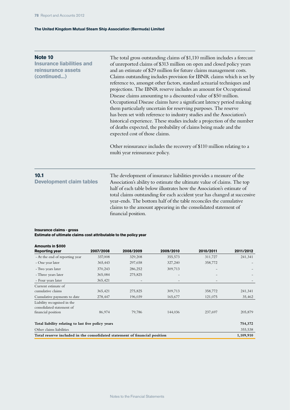| Note 10<br><b>Insurance liabilities and</b><br>reinsurance assets<br>(continued) | The total gross outstanding claims of \$1,110 million includes a forecast<br>of unreported claims of \$313 million on open and closed policy years<br>and an estimate of \$29 million for future claims management costs.<br>Claims outstanding includes provision for IBNR claims which is set by<br>reference to, amongst other factors, standard actuarial techniques and<br>projections. The IBNR reserve includes an amount for Occupational<br>Disease claims amounting to a discounted value of \$50 million.<br>Occupational Disease claims have a significant latency period making<br>them particularly uncertain for reserving purposes. The reserve<br>has been set with reference to industry studies and the Association's<br>historical experience. These studies include a projection of the number<br>of deaths expected, the probability of claims being made and the<br>expected cost of those claims.<br>Other reinsurance includes the recovery of \$110 million relating to a<br>multi year reinsurance policy. |
|----------------------------------------------------------------------------------|---------------------------------------------------------------------------------------------------------------------------------------------------------------------------------------------------------------------------------------------------------------------------------------------------------------------------------------------------------------------------------------------------------------------------------------------------------------------------------------------------------------------------------------------------------------------------------------------------------------------------------------------------------------------------------------------------------------------------------------------------------------------------------------------------------------------------------------------------------------------------------------------------------------------------------------------------------------------------------------------------------------------------------------|
| 10.1<br><b>Development claim tables</b>                                          | The development of insurance liabilities provides a measure of the<br>Association's ability to estimate the ultimate value of claims. The top<br>half of each table below illustrates how the Association's estimate of<br>total claims outstanding for each accident year has changed at successive<br>$1 \t1 \t11$ $1 \t1$ $1 \t1$ $1 \t1$ $1 \t1$ $1 \t1$                                                                                                                                                                                                                                                                                                                                                                                                                                                                                                                                                                                                                                                                          |

year-ends. The bottom half of the table reconciles the cumulative claims to the amount appearing in the consolidated statement of financial position.

### **Insurance claims - gross Estimate of ultimate claims cost attributable to the policy year**

| Amounts in \$000                                                           |           |                   |           |           |           |
|----------------------------------------------------------------------------|-----------|-------------------|-----------|-----------|-----------|
| <b>Reporting year</b>                                                      | 2007/2008 | 2008/2009         | 2009/2010 | 2010/2011 | 2011/2012 |
| - At the end of reporting year                                             | 337,008   | 329,208           | 355,573   | 311,727   | 241,341   |
| - One year later                                                           | 365,443   | 297,658           | 327,240   | 358,772   |           |
| - Two years later                                                          | 370,243   | 286,252           | 309,713   |           |           |
| - Three years later                                                        | 365,084   | 275,825           |           |           |           |
| - Four years later                                                         | 365,421   | $\qquad \qquad -$ |           |           |           |
| Current estimate of                                                        |           |                   |           |           |           |
| cumulative claims                                                          | 365,421   | 275,825           | 309,713   | 358,772   | 241,341   |
| Cumulative payments to date                                                | 278,447   | 196,039           | 165,677   | 121,075   | 35,462    |
| Liability recognised in the<br>consolidated statement of                   |           |                   |           |           |           |
| financial position                                                         | 86,974    | 79,786            | 144,036   | 237,697   | 205,879   |
| Total liability relating to last five policy years                         |           |                   |           |           | 754,372   |
| Other claims liabilities                                                   |           |                   |           |           | 355,538   |
| Total reserve included in the consolidated statement of financial position |           |                   |           |           | 1,109,910 |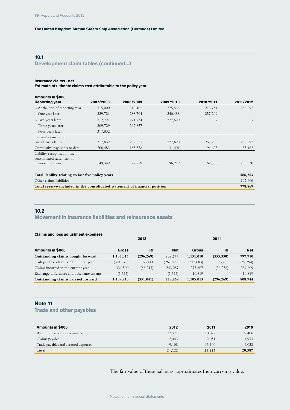### **10.1 Development claim tables (continued...)**

#### **Insurance claims - net**

**Estimate of ultimate claims cost attributable to the policy year**

| Amounts in \$000                                                           |           |                   |                   |           |           |
|----------------------------------------------------------------------------|-----------|-------------------|-------------------|-----------|-----------|
| <b>Reporting year</b>                                                      | 2007/2008 | 2008/2009         | 2009/2010         | 2010/2011 | 2011/2012 |
| - At the end of reporting year                                             | 315,000   | 312,461           | 275,533           | 273,754   | 236,292   |
| - One year later                                                           | 329,721   | 288,704           | 240,488           | 257,209   |           |
| - Two years later                                                          | 312,721   | 271,734           | 227,620           |           |           |
| - Three years later                                                        | 309,729   | 262,857           |                   |           |           |
| - Four years later                                                         | 317,832   | $\qquad \qquad -$ | $\qquad \qquad -$ |           |           |
| Current estimate of                                                        |           |                   |                   |           |           |
| cumulative claims                                                          | 317,832   | 262,857           | 227,620           | 257,209   | 236,292   |
| Cumulative payments to date                                                | 268,483   | 185,578           | 131,401           | 94,623    | 35,462    |
| Liability recognised in the<br>consolidated statement of                   |           |                   |                   |           |           |
| financial position                                                         | 49,349    | 77,279            | 96,219            | 162,586   | 200,830   |
| Total liability relating to last five policy years                         |           |                   |                   |           | 586,263   |
| Other claims liabilities                                                   |           |                   |                   |           | 192,606   |
| Total reserve included in the consolidated statement of financial position |           |                   |                   |           | 778,869   |

#### **10.2**

#### **Movement in insurance liabilities and reinsurance assets**

|  |  |  |  |  | <b>Claims and loss adjustment expenses</b> |
|--|--|--|--|--|--------------------------------------------|
|--|--|--|--|--|--------------------------------------------|

|                                          |           | 2012       |            |              | 2011       |            |
|------------------------------------------|-----------|------------|------------|--------------|------------|------------|
| Amounts in \$000                         | Gross     | <b>RI</b>  | <b>Net</b> | <b>Gross</b> | RI         | <b>Net</b> |
| Outstanding claims bought forward        | 1,105,013 | (296, 269) | 808,744    | 1,131,010    | (333, 330) | 797,710    |
| Cash paid for claims settled in the year | (321,070) | 53,441     | (267, 629) | (312,683)    | 73,289     | (239, 394) |
| Claims incurred in the current year      | 331,500   | (88, 213)  | 243,287    | 275,867      | (36, 258)  | 239,609    |
| Exchange differences and other movements | (5,533)   | -          | (5,533)    | 10,819       |            | 10,819     |
| Outstanding claims carried forward       | 1,109,910 | (331, 041) | 778,869    | 1,105,013    | (296, 269) | 808,744    |

#### **Note 11**

**Trade and other payables**

| Amounts in \$000                    | 2012   | 2011   | 2010   |
|-------------------------------------|--------|--------|--------|
| Reinsurance premium payable         | 12,571 | 10,072 | 9,406  |
| Claims payable                      | 2,443  | 2,051  | 1,953  |
| Trade payables and accrued expenses | 9.108  | 13,100 | 9.028  |
| Total                               | 24,122 | 25,223 | 20,387 |

The fair value of these balances approximates their carrying value.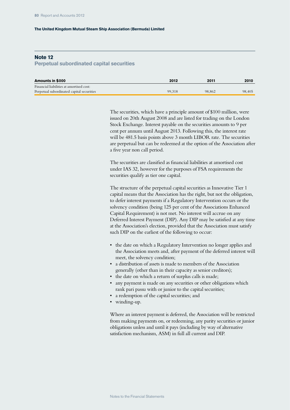#### **Note 12**

#### **Perpetual subordinated capital securities**

| Amounts in \$000                          | 2012   | 2011   | 2010   |
|-------------------------------------------|--------|--------|--------|
| Financial liabilities at amortised cost:  |        |        |        |
| Perpetual subordinated capital securities | 99.318 | 98,862 | 98.405 |

The securities, which have a principle amount of \$100 million, were issued on 20th August 2008 and are listed for trading on the London Stock Exchange. Interest payable on the securities amounts to 9 per cent per annum until August 2013. Following this, the interest rate will be 481.5 basis points above 3 month LIBOR rate. The securities are perpetual but can be redeemed at the option of the Association after a five year non call period.

The securities are classified as financial liabilities at amortised cost under IAS 32, however for the purposes of FSA requirements the securities qualify as tier one capital.

The structure of the perpetual capital securities as Innovative Tier 1 capital means that the Association has the right, but not the obligation, to defer interest payments if a Regulatory Intervention occurs or the solvency condition (being 125 per cent of the Associations Enhanced Capital Requirement) is not met. No interest will accrue on any Deferred Interest Payment (DIP). Any DIP may be satisfied at any time at the Association's election, provided that the Association must satisfy such DIP on the earliest of the following to occur:

- the date on which a Regulatory Intervention no longer applies and the Association meets and, after payment of the deferred interest will meet, the solvency condition;
- a distribution of assets is made to members of the Association generally (other than in their capacity as senior creditors);
- the date on which a return of surplus calls is made;
- any payment is made on any securities or other obligations which rank pari passu with or junior to the capital securities;
- a redemption of the capital securities; and
- winding-up.

Where an interest payment is deferred, the Association will be restricted from making payments on, or redeeming, any parity securities or junior obligations unless and until it pays (including by way of alternative satisfaction mechanism, ASM) in full all current and DIP.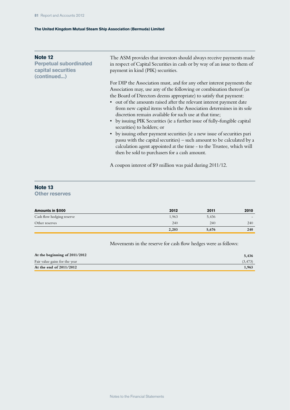| Note 12<br><b>Perpetual subordinated</b><br>capital securities<br>(continued) | The ASM provides that investors should always receive payments made<br>in respect of Capital Securities in cash or by way of an issue to them of<br>payment in kind (PIK) securities.                                                                                                                                                                                                                                                                                                                                                                                                                                                                                                                                                                                                                                |
|-------------------------------------------------------------------------------|----------------------------------------------------------------------------------------------------------------------------------------------------------------------------------------------------------------------------------------------------------------------------------------------------------------------------------------------------------------------------------------------------------------------------------------------------------------------------------------------------------------------------------------------------------------------------------------------------------------------------------------------------------------------------------------------------------------------------------------------------------------------------------------------------------------------|
|                                                                               | For DIP the Association must, and for any other interest payments the<br>Association may, use any of the following or combination thereof (as<br>the Board of Directors deems appropriate) to satisfy that payment:<br>• out of the amounts raised after the relevant interest payment date<br>from new capital items which the Association determines in its sole<br>discretion remain available for such use at that time;<br>• by issuing PIK Securities (ie a further issue of fully-fungible capital<br>securities) to holders; or<br>by issuing other payment securities (ie a new issue of securities pari<br>passu with the capital securities) – such amount to be calculated by a<br>calculation agent appointed at the time - to the Trustee, which will<br>then be sold to purchasers for a cash amount. |
|                                                                               | A coupon interest of \$9 million was paid during 2011/12.                                                                                                                                                                                                                                                                                                                                                                                                                                                                                                                                                                                                                                                                                                                                                            |

### **Note 13**

**Other reserves**

| Amounts in \$000          | 2012  | 2011  | 2010 |
|---------------------------|-------|-------|------|
| Cash flow hedging reserve | 1,963 | 5,436 |      |
| Other reserves            | 240   | 240   | 240  |
|                           | 2,203 | 5,676 | 240  |

Movements in the reserve for cash flow hedges were as follows:

| At the beginning of 2011/2012 | 5.436   |
|-------------------------------|---------|
| Fair value gains for the year | (3.473) |
| At the end of 2011/2012       | 1.963   |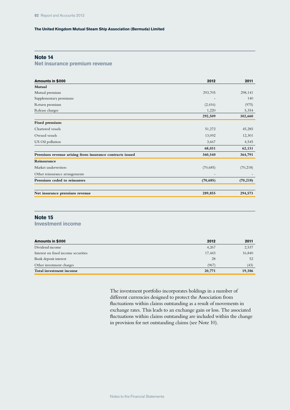### **Note 14**

#### **Net insurance premium revenue**

| Amounts in \$000                                        | 2012      | 2011      |
|---------------------------------------------------------|-----------|-----------|
| Mutual                                                  |           |           |
| Mutual premium                                          | 293,705   | 298,141   |
| Supplementary premiums                                  |           | 140       |
| Return premium                                          | (2, 416)  | (975)     |
| Release charges                                         | 1,220     | 5,354     |
|                                                         | 292,509   | 302,660   |
| Fixed premium                                           |           |           |
| Chartered vessels                                       | 51,272    | 45,285    |
| Owned vessels                                           | 13,092    | 12,301    |
| US Oil pollution                                        | 3,667     | 4,545     |
|                                                         | 68,031    | 62,131    |
| Premium revenue arising from insurance contracts issued | 360,540   | 364,791   |
| Reinsurance                                             |           |           |
| Market underwriters                                     | (70,685)  | (70, 218) |
| Other reinsurance arrangements                          |           |           |
| Premium ceded to reinsurers                             | (70, 685) | (70, 218) |
|                                                         |           |           |
| Net insurance premium revenue                           | 289,855   | 294,573   |

## **Note 15**

**Investment income**

| Amounts in \$000                    | 2012   | 2011   |
|-------------------------------------|--------|--------|
| Dividend income                     | 4,267  | 2,537  |
| Interest on fixed income securities | 17.443 | 16,840 |
| Bank deposit interest               | 28     | 52     |
| Other investment charges            | (967)  | (43)   |
| Total investment income             | 20,771 | 19,386 |

The investment portfolio incorporates holdings in a number of different currencies designed to protect the Association from fluctuations within claims outstanding as a result of movements in exchange rates. This leads to an exchange gain or loss. The associated fluctuations within claims outstanding are included within the change in provision for net outstanding claims (see Note 10).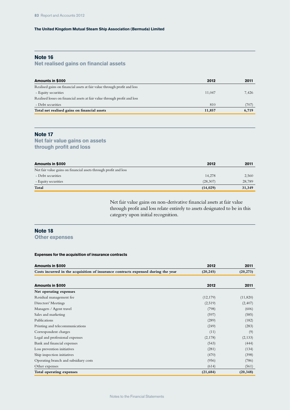### **Note 16**

### **Net realised gains on financial assets**

| Amounts in \$000                                                          | 2012   | 2011  |
|---------------------------------------------------------------------------|--------|-------|
| Realised gains on financial assets at fair value through profit and loss  |        |       |
| - Equity securities                                                       | 11.047 | 7,426 |
| Realised losses on financial assets at fair value through profit and loss |        |       |
| - Debt securities                                                         | 810    | (707) |
| Total net realised gains on financial assets                              | 11,857 | 6,719 |

#### **Note 17**

### **Net fair value gains on assets through profit and loss**

| Amounts in \$000                                                 | 2012      | 2011   |
|------------------------------------------------------------------|-----------|--------|
| Net fair value gains on financial assets through profit and loss |           |        |
| - Debt securities                                                | 14,278    | 2,560  |
| - Equity securities                                              | (28,307)  | 28,789 |
| Total                                                            | (14, 029) | 31,349 |

Net fair value gains on non-derivative financial assets at fair value through profit and loss relate entirely to assets designated to be in this category upon initial recognition.

### **Note 18**

**Other expenses**

#### **Expenses for the acquisition of insurance contracts**

| Amounts in \$000                                                                  | 2012      | 2011      |
|-----------------------------------------------------------------------------------|-----------|-----------|
| Costs incurred in the acquisition of insurance contracts expensed during the year | (20, 245) | (20, 273) |
|                                                                                   |           |           |
| Amounts in \$000                                                                  | 2012      | 2011      |
| Net operating expenses                                                            |           |           |
| Residual management fee                                                           | (12, 179) | (11,820)  |
| Directors' Meetings                                                               | (2,519)   | (2, 407)  |
| Managers / Agent travel                                                           | (798)     | (606)     |
| Sales and marketing                                                               | (597)     | (585)     |
| Publications                                                                      | (289)     | (182)     |
| Printing and telecommunications                                                   | (249)     | (283)     |
| Correspondent charges                                                             | (11)      | (9)       |
| Legal and professional expenses                                                   | (2,178)   | (2, 133)  |
| Bank and financial expenses                                                       | (543)     | (444)     |
| Loss prevention initiatives                                                       | (281)     | (134)     |
| Ship inspection initiatives                                                       | (470)     | (398)     |
| Operating branch and subsidiary costs                                             | (956)     | (786)     |
| Other expenses                                                                    | (614)     | (561)     |
| Total operating expenses                                                          | (21, 684) | (20, 348) |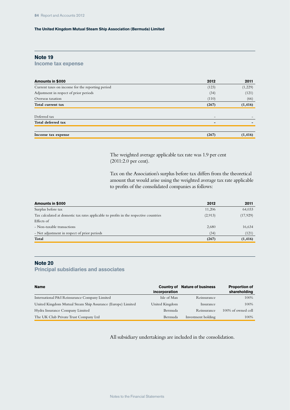#### **Note 19**

**Income tax expense**

| Amounts in \$000                                 | 2012  | 2011     |
|--------------------------------------------------|-------|----------|
| Current taxes on income for the reporting period | (123) | (1,229)  |
| Adjustment in respect of prior periods           | (34)  | (121)    |
| Overseas taxation                                | (110) | (66)     |
| Total current tax                                | (267) | (1, 416) |
|                                                  |       |          |
| Deferred tax                                     |       |          |
| Total deferred tax                               | -     |          |
|                                                  |       |          |
| Income tax expense                               | (267) | (1, 416) |

The weighted average applicable tax rate was 1.9 per cent (2011:2.0 per cent).

Tax on the Association's surplus before tax differs from the theoretical amount that would arise using the weighted average tax rate applicable to profits of the consolidated companies as follows:

| Amounts in \$000                                                                       | 2012    | 2011      |
|----------------------------------------------------------------------------------------|---------|-----------|
| Surplus before tax                                                                     | 11,206  | 64,033    |
| Tax calculated at domestic tax rates applicable to profits in the respective countries | (2,913) | (17, 929) |
| Effects of                                                                             |         |           |
| - Non-taxable transactions                                                             | 2,680   | 16,634    |
| - Net adjustment in respect of prior periods                                           | (34)    | (121)     |
| Total                                                                                  | (267)   | (1, 416)  |
|                                                                                        |         |           |

#### **Note 20**

**Principal subsidiaries and associates**

| <b>Name</b>                                                 | incorporation  | <b>Country of Nature of business</b> | <b>Proportion of</b><br>shareholding |
|-------------------------------------------------------------|----------------|--------------------------------------|--------------------------------------|
| International P&I Reinsurance Company Limited               | Isle of Man    | Reinsurance                          | 100%                                 |
| United Kingdom Mutual Steam Ship Assurance (Europe) Limited | United Kingdom | Insurance                            | 100%                                 |
| Hydra Insurance Company Limited                             | Bermuda        | Reinsurance                          | 100% of owned cell                   |
| The UK Club Private Trust Company Ltd                       | Bermuda        | Investment holding                   | 100%                                 |

All subsidiary undertakings are included in the consolidation.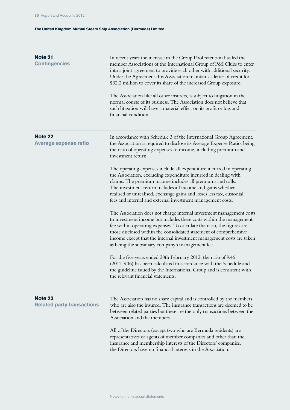| <b>Note 21</b><br><b>Contingencies</b>       | In recent years the increase in the Group Pool retention has led the<br>member Associations of the International Group of P&I Clubs to enter<br>into a joint agreement to provide each other with additional security.<br>Under the Agreement this Association maintains a letter of credit for<br>\$32.2 million to cover its share of the increased Group exposure.<br>The Association like all other insurers, is subject to litigation in the<br>normal course of its business. The Association does not believe that<br>such litigation will have a material effect on its profit or loss and<br>financial condition. |
|----------------------------------------------|----------------------------------------------------------------------------------------------------------------------------------------------------------------------------------------------------------------------------------------------------------------------------------------------------------------------------------------------------------------------------------------------------------------------------------------------------------------------------------------------------------------------------------------------------------------------------------------------------------------------------|
| Note 22<br><b>Average expense ratio</b>      | In accordance with Schedule 3 of the International Group Agreement,<br>the Association is required to disclose its Average Expense Ratio, being<br>the ratio of operating expenses to income, including premium and<br>investment return.                                                                                                                                                                                                                                                                                                                                                                                  |
|                                              | The operating expenses include all expenditure incurred in operating<br>the Association, excluding expenditure incurred in dealing with<br>claims. The premium income includes all premiums and calls.<br>The investment return includes all income and gains whether<br>realised or unrealised, exchange gains and losses less tax, custodial<br>fees and internal and external investment management costs.                                                                                                                                                                                                              |
|                                              | The Association does not charge internal investment management costs<br>to investment income but includes these costs within the management<br>fee within operating expenses. To calculate the ratio, the figures are<br>those disclosed within the consolidated statement of comprehensive<br>income except that the internal investment management costs are taken<br>as being the subsidiary company's management fee.                                                                                                                                                                                                  |
|                                              | For the five years ended 20th February 2012, the ratio of 9.46<br>(2011: 9.16) has been calculated in accordance with the Schedule and<br>the guideline issued by the International Group and is consistent with<br>the relevant financial statements.                                                                                                                                                                                                                                                                                                                                                                     |
| Note 23<br><b>Related party transactions</b> | The Association has no share capital and is controlled by the members<br>who are also the insured. The insurance transactions are deemed to be<br>between related parties but these are the only transactions between the<br>Association and the members.                                                                                                                                                                                                                                                                                                                                                                  |
|                                              | All of the Directors (except two who are Bermuda residents) are<br>representatives or agents of member companies and other than the<br>insurance and membership interests of the Directors' companies,<br>the Directors have no financial interests in the Association.                                                                                                                                                                                                                                                                                                                                                    |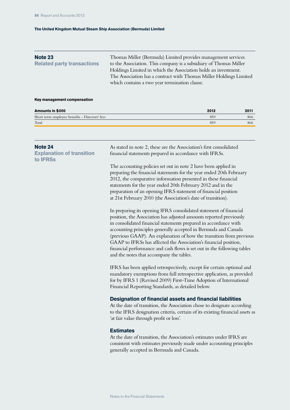| <b>Note 23</b><br><b>Related party transactions</b> | Thomas Miller (Bermuda) Limited provides management services<br>to the Association. This company is a subsidiary of Thomas Miller    |
|-----------------------------------------------------|--------------------------------------------------------------------------------------------------------------------------------------|
|                                                     | Holdings Limited in which the Association holds an investment.<br>The Association has a contract with Thomas Miller Holdings Limited |
|                                                     | which contains a two year termination clause.                                                                                        |

#### **Key management compensation**

| Amounts in \$000 |  |  |  |
|------------------|--|--|--|
|------------------|--|--|--|

| Amounts in \$000                               | 2012 | 2011 |
|------------------------------------------------|------|------|
| Short term employee benefits - Directors' fees | 859  | 866  |
| Total                                          | 859  | 866  |

| Note 24<br><b>Explanation of transition</b><br>to <b>IFRSs</b> | As stated in note 2, these are the Association's first consolidated<br>financial statements prepared in accordance with IFRSs.                                                                                                                                                                                                                                                                                                                                                                                                                  |
|----------------------------------------------------------------|-------------------------------------------------------------------------------------------------------------------------------------------------------------------------------------------------------------------------------------------------------------------------------------------------------------------------------------------------------------------------------------------------------------------------------------------------------------------------------------------------------------------------------------------------|
|                                                                | The accounting policies set out in note 2 have been applied in<br>preparing the financial statements for the year ended 20th February<br>2012, the comparative information presented in these financial<br>statements for the year ended 20th February 2012 and in the<br>preparation of an opening IFRS statement of financial position<br>at 21st February 2010 (the Association's date of transition).                                                                                                                                       |
|                                                                | In preparing its opening IFRS consolidated statement of financial<br>position, the Association has adjusted amounts reported previously<br>in consolidated financial statements prepared in accordance with<br>accounting principles generally accepted in Bermuda and Canada<br>(previous GAAP). An explanation of how the transition from previous<br>GAAP to IFRSs has affected the Association's financial position,<br>financial performance and cash flows is set out in the following tables<br>and the notes that accompany the tables. |
|                                                                | IFRS has been applied retrospectively, except for certain optional and<br>mandatory exemptions from full retrospective application, as provided<br>for by IFRS 1 (Revised 2009) First-Time Adoption of International<br>Financial Reporting Standards, as detailed below.                                                                                                                                                                                                                                                                       |
|                                                                | <b>Designation of financial assets and financial liabilities</b><br>At the date of transition, the Association chose to designate according<br>to the IFRS designation criteria, certain of its existing financial assets as<br>'at fair value through profit or loss'.                                                                                                                                                                                                                                                                         |
|                                                                | <b>Estimates</b>                                                                                                                                                                                                                                                                                                                                                                                                                                                                                                                                |

At the date of transition, the Association's estimates under IFRS are consistent with estimates previously made under accounting principles generally accepted in Bermuda and Canada.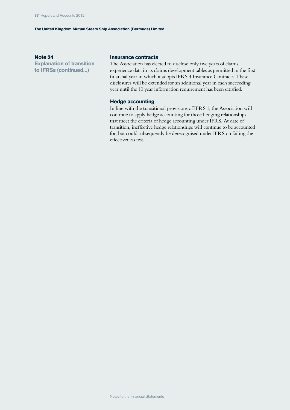#### **Note 24**

**Explanation of transition to IFRSs (continued...)**

#### **Insurance contracts**

The Association has elected to disclose only five years of claims experience data in its claims development tables as permitted in the first financial year in which it adopts IFRS 4 Insurance Contracts. These disclosures will be extended for an additional year in each succeeding year until the 10 year information requirement has been satisfied.

#### **Hedge accounting**

In line with the transitional provisions of IFRS 1, the Association will continue to apply hedge accounting for those hedging relationships that meet the criteria of hedge accounting under IFRS. At date of transition, ineffective hedge relationships will continue to be accounted for, but could subsequently be derecognised under IFRS on failing the effectiveness test.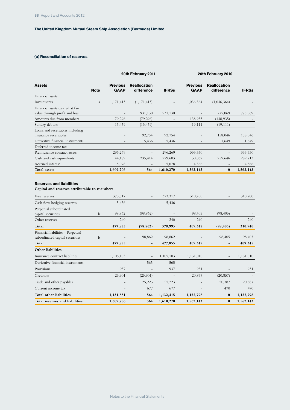#### **(a) Reconciliation of reserves**

|                                                                                 |              |                                | 20th February 2011                | 20th February 2010 |                                |                                   |              |
|---------------------------------------------------------------------------------|--------------|--------------------------------|-----------------------------------|--------------------|--------------------------------|-----------------------------------|--------------|
| <b>Assets</b>                                                                   | <b>Note</b>  | <b>Previous</b><br><b>GAAP</b> | <b>Reallocation</b><br>difference | <b>IFRSs</b>       | <b>Previous</b><br><b>GAAP</b> | <b>Reallocation</b><br>difference | <b>IFRSs</b> |
| Financial assets                                                                |              |                                |                                   |                    |                                |                                   |              |
| Investments                                                                     | a            | 1,171,415                      | (1, 171, 415)                     |                    | 1,036,364                      | (1,036,364)                       |              |
| Financial assets carried at fair<br>value through profit and loss               |              |                                | 931,130                           | 931,130            |                                | 775,069                           | 775,069      |
| Amounts due from members                                                        |              | 79,296                         | (79, 296)                         |                    | 138,935                        | (138, 935)                        |              |
| Sundry debtors                                                                  |              | 13,459                         | (13, 459)                         |                    | 19,111                         | (19, 111)                         |              |
| Loans and receivables including<br>insurance receivables                        |              | $\overline{\phantom{a}}$       | 92,754                            | 92,754             |                                | 158,046                           | 158,046      |
| Derivative financial instruments                                                |              |                                | 5,436                             | 5,436              |                                | 1,649                             | 1,649        |
| Deferred income tax                                                             |              |                                |                                   |                    |                                |                                   |              |
| Reinsurance contract assets                                                     |              | 296,269                        |                                   | 296,269            | 333,330                        |                                   | 333,330      |
| Cash and cash equivalents                                                       |              | 44,189                         | 235,414                           | 279,603            | 30,067                         | 259,646                           | 289,713      |
| Accrued interest                                                                |              | 5,078                          |                                   | 5,078              | 4,366                          |                                   | 4,366        |
| <b>Total assets</b>                                                             |              | 1,609,706                      | 564                               | 1,610,270          | 1,562,143                      | $\bf{0}$                          | 1,562,143    |
| <b>Reserves and liabilities</b><br>Capital and reserves attributable to members |              |                                |                                   |                    |                                |                                   |              |
| Free reserves                                                                   |              | 373,317                        |                                   | 373,317            | 310,700                        |                                   | 310,700      |
| Cash flow hedging reserves                                                      |              | 5,436                          |                                   | 5,436              |                                |                                   |              |
| Perpetual subordinated<br>aanital aaguunidaa                                    | $\mathbf{L}$ | 98.862                         | (98.862)                          |                    | 98 405                         | (98, 405)                         |              |

| Total reserves and liabilities                                       |   | 1,609,706         | 564                      | 1,610,270 | 1,562,143 | $\bf{0}$                 | 1,562,143 |
|----------------------------------------------------------------------|---|-------------------|--------------------------|-----------|-----------|--------------------------|-----------|
| Total other liabilities                                              |   | 1,131,851         | 564                      | 1,132,415 | 1,152,798 | $\bf{0}$                 | 1,152,798 |
| Current income tax                                                   |   | -                 | 677                      | 677       |           | 470                      | 470       |
| Trade and other payables                                             |   | $\qquad \qquad -$ | 25,223                   | 25,223    |           | 20,387                   | 20,387    |
| Creditors                                                            |   | 25,901            | (25,901)                 |           | 20,857    | (20, 857)                |           |
| Provisions                                                           |   | 937               |                          | 937       | 931       |                          | 931       |
| Derivative financial instruments                                     |   |                   | 565                      | 565       |           |                          |           |
| Insurance contract liabilities                                       |   | 1,105,103         | $\overline{\phantom{a}}$ | 1,105,103 | 1,131,010 | $\overline{\phantom{a}}$ | 1,131,010 |
| <b>Other liabilities</b>                                             |   |                   |                          |           |           |                          |           |
| Total                                                                |   | 477,855           | -                        | 477,855   | 409,345   | $\overline{\phantom{a}}$ | 409,345   |
| Financial liabilities - Perpetual<br>subordinated capital securities | b | $\qquad \qquad -$ | 98,862                   | 98,862    |           | 98,405                   | 98,405    |
| Total                                                                |   | 477,855           | (98, 862)                | 378,993   | 409,345   | (98, 405)                | 310,940   |
| Other reserves                                                       |   | 240               |                          | 240       | 240       |                          | 240       |
| capital securities                                                   | b | 98,862            | (98, 862)                |           | 98,405    | (98, 405)                |           |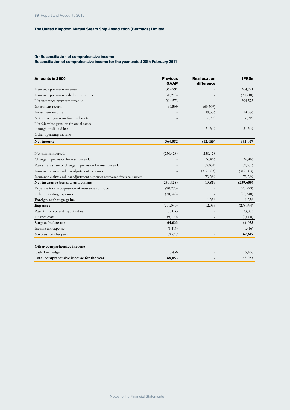#### **(b) Reconciliation of comprehensive income**

#### **Reconciliation of comprehensive income for the year ended 20th February 2011**

| Amounts in \$000                                                        | <b>Previous</b><br><b>GAAP</b> | <b>Reallocation</b><br>difference | <b>IFRSs</b> |
|-------------------------------------------------------------------------|--------------------------------|-----------------------------------|--------------|
| Insurance premium revenue                                               | 364,791                        |                                   | 364,791      |
| Insurance premium ceded to reinsurers                                   | (70, 218)                      |                                   | (70, 218)    |
| Net insurance premium revenue                                           | 294,573                        |                                   | 294,573      |
| Investment return                                                       | 69,509                         | (69, 509)                         |              |
| Investment income                                                       |                                | 19,386                            | 19,386       |
| Net realised gains on financial assets                                  |                                | 6,719                             | 6,719        |
| Net fair value gains on financial assets                                |                                |                                   |              |
| through profit and loss                                                 |                                | 31,349                            | 31,349       |
| Other operating income                                                  |                                |                                   |              |
| Net income                                                              | 364,082                        | (12, 055)                         | 352,027      |
|                                                                         |                                |                                   |              |
| Net claims incurred                                                     | (250, 428)                     | 250,428                           |              |
| Change in provision for insurance claims                                |                                | 36,816                            | 36,816       |
| Reinsurers' share of change in provision for insurance claims           |                                | (37,031)                          | (37,031)     |
| Insurance claims and loss adjustment expenses                           |                                | (312, 683)                        | (312, 683)   |
| Insurance claims and loss adjustment expenses recovered from reinsurers |                                | 73,289                            | 73,289       |
| Net insurance benefits and claims                                       | (250, 428)                     | 10,819                            | (239, 609)   |
| Expenses for the acquisition of insurance contracts                     | (20, 273)                      |                                   | (20, 273)    |
| Other operating expenses                                                | (20, 348)                      |                                   | (20, 348)    |
| Foreign exchange gains                                                  |                                | 1,236                             | 1,236        |
| <b>Expenses</b>                                                         | (291, 049)                     | 12,055                            | (278,994)    |
| Results from operating activities                                       | 73,033                         |                                   | 73,033       |
| Finance costs                                                           | (9,000)                        |                                   | (9,000)      |
| Surplus before tax                                                      | 64,033                         |                                   | 64,033       |
| Income tax expense                                                      | (1, 416)                       |                                   | (1, 416)     |
| Surplus for the year                                                    | 62,617                         |                                   | 62,617       |
| Other comprehensive income                                              |                                |                                   |              |
| Cash flow hedge                                                         | 5,436                          |                                   | 5,436        |
| Total comprehensive income for the year                                 | 68,053                         |                                   | 68,053       |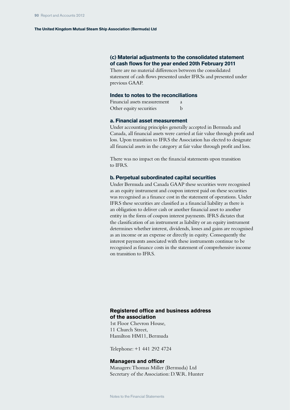### **(c) Material adjustments to the consolidated statement of cash flows for the year ended 20th February 2011**

There are no material differences between the consolidated statement of cash flows presented under IFRSs and presented under previous GAAP.

#### **Index to notes to the reconciliations**

| Financial assets measurement | <sup>2</sup> |
|------------------------------|--------------|
| Other equity securities      | b            |

#### **a. Financial asset measurement**

Under accounting principles generally accepted in Bermuda and Canada, all financial assets were carried at fair value through profit and loss. Upon transition to IFRS the Association has elected to designate all financial assets in the category at fair value through profit and loss.

There was no impact on the financial statements upon transition to IFRS.

#### **b. Perpetual subordinated capital securities**

Under Bermuda and Canada GAAP these securities were recognised as an equity instrument and coupon interest paid on these securities was recognised as a finance cost in the statement of operations. Under IFRS these securities are classified as a financial liability as there is an obligation to deliver cash or another financial asset to another entity in the form of coupon interest payments. IFRS dictates that the classification of an instrument as liability or an equity instrument determines whether interest, dividends, losses and gains are recognised as an income or an expense or directly in equity. Consequently the interest payments associated with these instruments continue to be recognised as finance costs in the statement of comprehensive income on transition to IFRS.

#### **Registered office and business address of the association**

1st Floor Chevron House, 11 Church Street, Hamilton HM11, Bermuda

Telephone: +1 441 292 4724

#### **Managers and officer**

Managers: Thomas Miller (Bermuda) Ltd Secretary of the Association: D.W.R. Hunter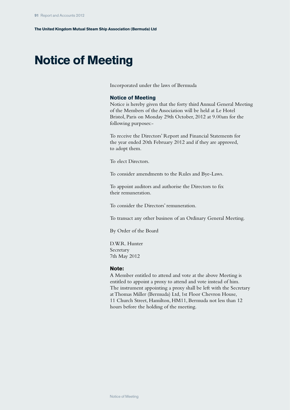# **Notice of Meeting**

Incorporated under the laws of Bermuda

#### **Notice of Meeting**

Notice is hereby given that the forty third Annual General Meeting of the Members of the Association will be held at Le Hotel Bristol, Paris on Monday 29th October, 2012 at 9.00am for the following purposes:-

To receive the Directors' Report and Financial Statements for the year ended 20th February 2012 and if they are approved, to adopt them.

To elect Directors.

To consider amendments to the Rules and Bye-Laws.

To appoint auditors and authorise the Directors to fix their remuneration.

To consider the Directors' remuneration.

To transact any other business of an Ordinary General Meeting.

By Order of the Board

D.W.R. Hunter Secretary 7th May 2012

#### **Note:**

A Member entitled to attend and vote at the above Meeting is entitled to appoint a proxy to attend and vote instead of him. The instrument appointing a proxy shall be left with the Secretary at Thomas Miller (Bermuda) Ltd, 1st Floor Chevron House, 11 Church Street, Hamilton, HM11, Bermuda not less than 12 hours before the holding of the meeting.